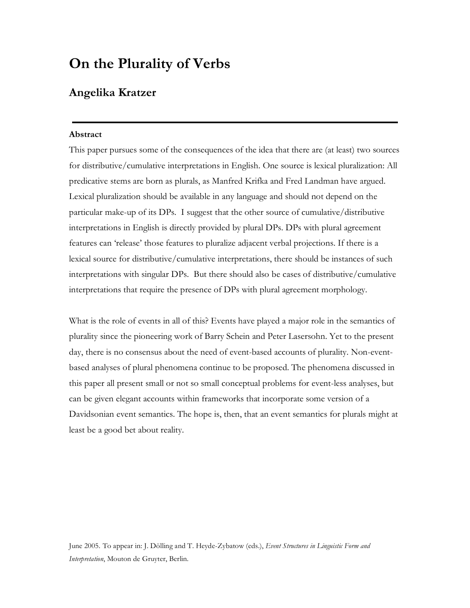# **On the Plurality of Verbs**

## **Angelika Kratzer**

#### **Abstract**

This paper pursues some of the consequences of the idea that there are (at least) two sources for distributive/cumulative interpretations in English. One source is lexical pluralization: All predicative stems are born as plurals, as Manfred Krifka and Fred Landman have argued. Lexical pluralization should be available in any language and should not depend on the particular make-up of its DPs. I suggest that the other source of cumulative/distributive interpretations in English is directly provided by plural DPs. DPs with plural agreement features can 'release' those features to pluralize adjacent verbal projections. If there is a lexical source for distributive/cumulative interpretations, there should be instances of such interpretations with singular DPs. But there should also be cases of distributive/cumulative interpretations that require the presence of DPs with plural agreement morphology.

What is the role of events in all of this? Events have played a major role in the semantics of plurality since the pioneering work of Barry Schein and Peter Lasersohn. Yet to the present day, there is no consensus about the need of event-based accounts of plurality. Non-eventbased analyses of plural phenomena continue to be proposed. The phenomena discussed in this paper all present small or not so small conceptual problems for event-less analyses, but can be given elegant accounts within frameworks that incorporate some version of a Davidsonian event semantics. The hope is, then, that an event semantics for plurals might at least be a good bet about reality.

June 2005. To appear in: J. Dölling and T. Heyde-Zybatow (eds.), *Event Structures in Linguistic Form and Interpretation*, Mouton de Gruyter, Berlin.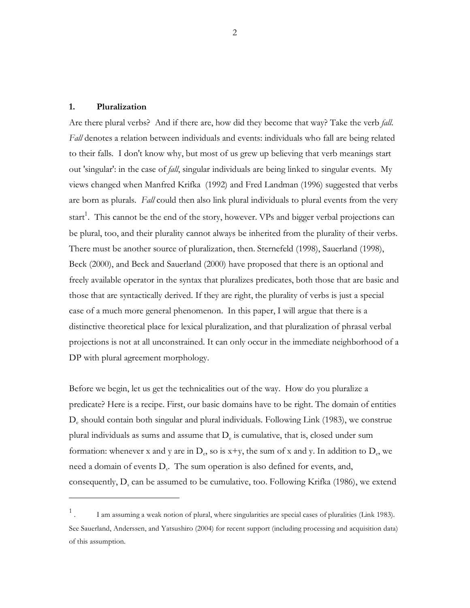#### **1. Pluralization**

 $\overline{a}$ 

Are there plural verbs? And if there are, how did they become that way? Take the verb *fall*. *Fall* denotes a relation between individuals and events: individuals who fall are being related to their falls. I don't know why, but most of us grew up believing that verb meanings start out 'singular': in the case of *fall*, singular individuals are being linked to singular events. My views changed when Manfred Krifka (1992) and Fred Landman (1996) suggested that verbs are born as plurals. *Fall* could then also link plural individuals to plural events from the very start<sup>1</sup>. This cannot be the end of the story, however. VPs and bigger verbal projections can be plural, too, and their plurality cannot always be inherited from the plurality of their verbs. There must be another source of pluralization, then. Sternefeld (1998), Sauerland (1998), Beck (2000), and Beck and Sauerland (2000) have proposed that there is an optional and freely available operator in the syntax that pluralizes predicates, both those that are basic and those that are syntactically derived. If they are right, the plurality of verbs is just a special case of a much more general phenomenon. In this paper, I will argue that there is a distinctive theoretical place for lexical pluralization, and that pluralization of phrasal verbal projections is not at all unconstrained. It can only occur in the immediate neighborhood of a DP with plural agreement morphology.

Before we begin, let us get the technicalities out of the way. How do you pluralize a predicate? Here is a recipe. First, our basic domains have to be right. The domain of entities  $D<sub>e</sub>$  should contain both singular and plural individuals. Following Link (1983), we construe plural individuals as sums and assume that  $D<sub>e</sub>$  is cumulative, that is, closed under sum formation: whenever x and y are in  $D_e$ , so is x+y, the sum of x and y. In addition to  $D_e$ , we need a domain of events  $D<sub>s</sub>$ . The sum operation is also defined for events, and, consequently,  $D_s$  can be assumed to be cumulative, too. Following Krifka (1986), we extend

<sup>&</sup>lt;sup>1</sup> . I am assuming a weak notion of plural, where singularities are special cases of pluralities (Link 1983). See Sauerland, Anderssen, and Yatsushiro (2004) for recent support (including processing and acquisition data) of this assumption.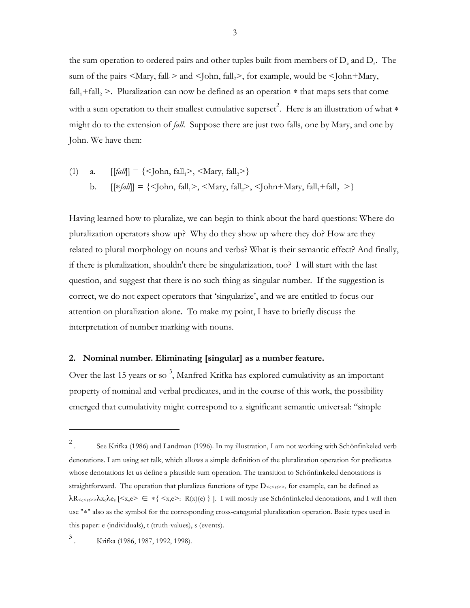the sum operation to ordered pairs and other tuples built from members of  $D_{\alpha}$  and  $D_{\alpha}$ . The sum of the pairs  $\langle \text{Mary}, \text{fall}\rangle$  and  $\langle \text{John}, \text{fall}\rangle$ , for example, would be  $\langle \text{John}+\text{Mary}\rangle$ ,  $fall_1 + fall_2$  >. Pluralization can now be defined as an operation  $*$  that maps sets that come with a sum operation to their smallest cumulative superset<sup>2</sup>. Here is an illustration of what  $*$ might do to the extension of *fall*. Suppose there are just two falls, one by Mary, and one by John. We have then:

\n- (1) a. 
$$
[[\text{fall}] = \{\text{50hn}, \text{fall}_1\text{>, } \text{Mary}, \text{fall}_2\text{,}\}
$$
\n- b.  $[[\text{fall}]] = \{\text{50hn}, \text{fall}_1\text{>, } \text{Mary}, \text{fall}_2\text{, } \text{50hn} + \text{Mary}, \text{fall}_1\text{, fall}_2\text{,}\}$
\n

Having learned how to pluralize, we can begin to think about the hard questions: Where do pluralization operators show up? Why do they show up where they do? How are they related to plural morphology on nouns and verbs? What is their semantic effect? And finally, if there is pluralization, shouldn't there be singularization, too? I will start with the last question, and suggest that there is no such thing as singular number. If the suggestion is correct, we do not expect operators that 'singularize', and we are entitled to focus our attention on pluralization alone. To make my point, I have to briefly discuss the interpretation of number marking with nouns.

#### **2. Nominal number. Eliminating [singular] as a number feature.**

Over the last 15 years or so<sup>3</sup>, Manfred Krifka has explored cumulativity as an important property of nominal and verbal predicates, and in the course of this work, the possibility emerged that cumulativity might correspond to a significant semantic universal: "simple

<sup>&</sup>lt;sup>2</sup>. See Krifka (1986) and Landman (1996). In my illustration, I am not working with Schönfinkeled verb denotations. I am using set talk, which allows a simple definition of the pluralization operation for predicates whose denotations let us define a plausible sum operation. The transition to Schönfinkeled denotations is straightforward. The operation that pluralizes functions of type  $D_{< e< s\uparrow v}$ , for example, can be defined as  $\lambda R_{\leq c \leq st} \lambda x_c \lambda c_s \leq \leq \leq \{ \leq x, e \geq: R(x)(e) \}$ . I will mostly use Schönfinkeled denotations, and I will then use "\*" also as the symbol for the corresponding cross-categorial pluralization operation. Basic types used in this paper: e (individuals), t (truth-values), s (events).

 $\frac{3}{1}$ . Krifka (1986, 1987, 1992, 1998).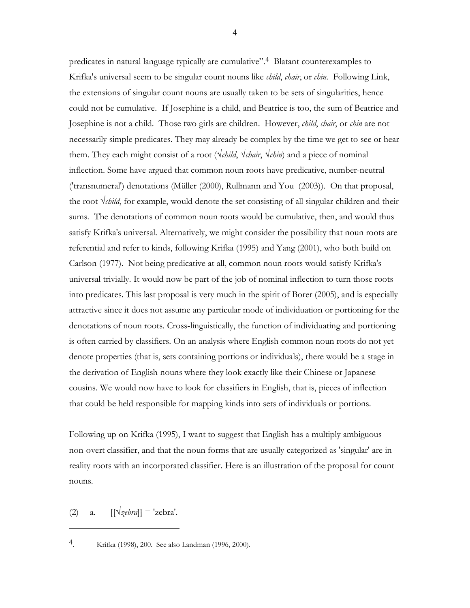predicates in natural language typically are cumulative". 4 Blatant counterexamples to Krifka's universal seem to be singular count nouns like *child*, *chair*, or *chin*. Following Link, the extensions of singular count nouns are usually taken to be sets of singularities, hence could not be cumulative. If Josephine is a child, and Beatrice is too, the sum of Beatrice and Josephine is not a child. Those two girls are children. However, *child*, *chair*, or *chin* are not necessarily simple predicates. They may already be complex by the time we get to see or hear them. They each might consist of a root (√*child*, √*chair*, √*chin*) and a piece of nominal inflection. Some have argued that common noun roots have predicative, number-neutral ('transnumeral') denotations (Müller (2000), Rullmann and You (2003)). On that proposal, the root √*child*, for example, would denote the set consisting of all singular children and their sums. The denotations of common noun roots would be cumulative, then, and would thus satisfy Krifka's universal. Alternatively, we might consider the possibility that noun roots are referential and refer to kinds, following Krifka (1995) and Yang (2001), who both build on Carlson (1977). Not being predicative at all, common noun roots would satisfy Krifka's universal trivially. It would now be part of the job of nominal inflection to turn those roots into predicates. This last proposal is very much in the spirit of Borer (2005), and is especially attractive since it does not assume any particular mode of individuation or portioning for the denotations of noun roots. Cross-linguistically, the function of individuating and portioning is often carried by classifiers. On an analysis where English common noun roots do not yet denote properties (that is, sets containing portions or individuals), there would be a stage in the derivation of English nouns where they look exactly like their Chinese or Japanese cousins. We would now have to look for classifiers in English, that is, pieces of inflection that could be held responsible for mapping kinds into sets of individuals or portions.

Following up on Krifka (1995), I want to suggest that English has a multiply ambiguous non-overt classifier, and that the noun forms that are usually categorized as 'singular' are in reality roots with an incorporated classifier. Here is an illustration of the proposal for count nouns.

(2) a.  $\left[\sqrt{\chi} \text{e} \text{b} \text{r} \text{a}\right] = \text{e} \text{b} \text{r} \text{a}.$ 

 $\overline{a}$ 

4. Krifka (1998), 200. See also Landman (1996, 2000).

4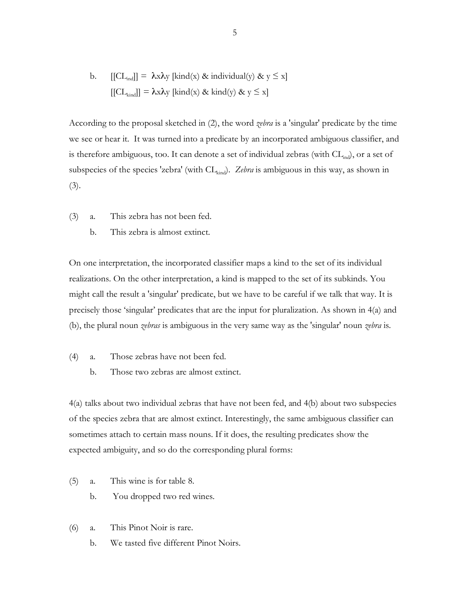\n- b. 
$$
[[CL_{ind}]] = \lambda x \lambda y \, [\text{kind}(x) \, \& \text{individual}(y) \, \& y \leq x]
$$
\n- $[[CL_{\text{kind}}]] = \lambda x \lambda y \, [\text{kind}(x) \, \& \text{kind}(y) \, \& y \leq x]$
\n

According to the proposal sketched in (2), the word *zebra* is a 'singular' predicate by the time we see or hear it. It was turned into a predicate by an incorporated ambiguous classifier, and is therefore ambiguous, too. It can denote a set of individual zebras (with  $CL_{ind}$ ), or a set of subspecies of the species 'zebra' (with CL<sub>kind</sub>). Zebra is ambiguous in this way, as shown in (3).

- (3) a. This zebra has not been fed.
	- b. This zebra is almost extinct.

On one interpretation, the incorporated classifier maps a kind to the set of its individual realizations. On the other interpretation, a kind is mapped to the set of its subkinds. You might call the result a 'singular' predicate, but we have to be careful if we talk that way. It is precisely those 'singular' predicates that are the input for pluralization. As shown in 4(a) and (b), the plural noun *zebras* is ambiguous in the very same way as the 'singular' noun *zebra* is.

- (4) a. Those zebras have not been fed.
	- b. Those two zebras are almost extinct.

4(a) talks about two individual zebras that have not been fed, and 4(b) about two subspecies of the species zebra that are almost extinct. Interestingly, the same ambiguous classifier can sometimes attach to certain mass nouns. If it does, the resulting predicates show the expected ambiguity, and so do the corresponding plural forms:

- (5) a. This wine is for table 8.
	- b. You dropped two red wines.
- (6) a. This Pinot Noir is rare.
	- b. We tasted five different Pinot Noirs.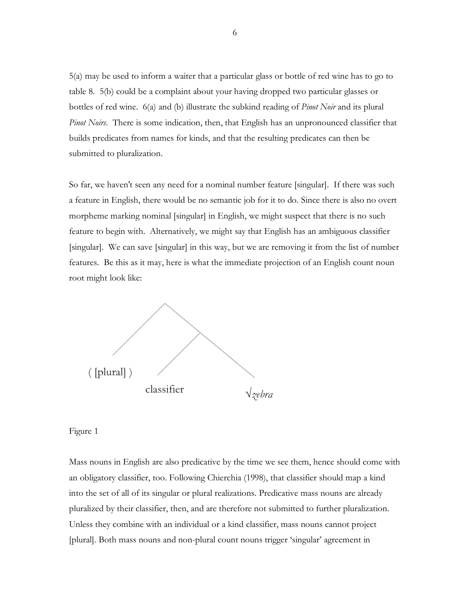5(a) may be used to inform a waiter that a particular glass or bottle of red wine has to go to table 8. 5(b) could be a complaint about your having dropped two particular glasses or bottles of red wine. 6(a) and (b) illustrate the subkind reading of *Pinot Noir* and its plural *Pinot Noirs*. There is some indication, then, that English has an unpronounced classifier that builds predicates from names for kinds, and that the resulting predicates can then be submitted to pluralization.

So far, we haven't seen any need for a nominal number feature [singular]. If there was such a feature in English, there would be no semantic job for it to do. Since there is also no overt morpheme marking nominal [singular] in English, we might suspect that there is no such feature to begin with. Alternatively, we might say that English has an ambiguous classifier [singular]. We can save [singular] in this way, but we are removing it from the list of number features. Be this as it may, here is what the immediate projection of an English count noun root might look like:



#### Figure 1

Mass nouns in English are also predicative by the time we see them, hence should come with an obligatory classifier, too. Following Chierchia (1998), that classifier should map a kind into the set of all of its singular or plural realizations. Predicative mass nouns are already pluralized by their classifier, then, and are therefore not submitted to further pluralization. Unless they combine with an individual or a kind classifier, mass nouns cannot project [plural]. Both mass nouns and non-plural count nouns trigger 'singular' agreement in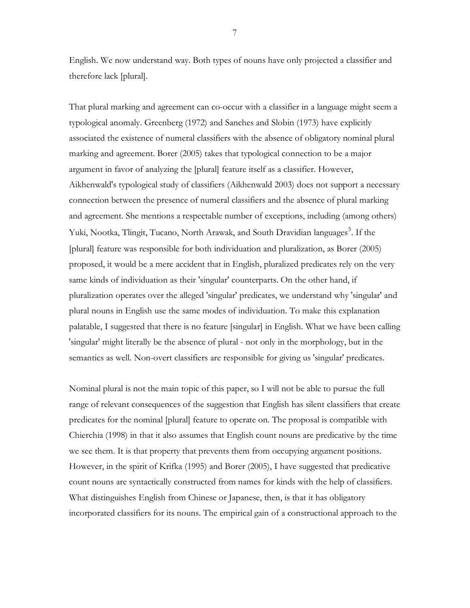English. We now understand way. Both types of nouns have only projected a classifier and therefore lack [plural].

That plural marking and agreement can co-occur with a classifier in a language might seem a typological anomaly. Greenberg (1972) and Sanches and Slobin (1973) have explicitly associated the existence of numeral classifiers with the absence of obligatory nominal plural marking and agreement. Borer (2005) takes that typological connection to be a major argument in favor of analyzing the [plural] feature itself as a classifier. However, Aikhenwald's typological study of classifiers (Aikhenwald 2003) does not support a necessary connection between the presence of numeral classifiers and the absence of plural marking and agreement. She mentions a respectable number of exceptions, including (among others) Yuki, Nootka, Tlingit, Tucano, North Arawak, and South Dravidian languages<sup>5</sup>. If the [plural] feature was responsible for both individuation and pluralization, as Borer (2005) proposed, it would be a mere accident that in English, pluralized predicates rely on the very same kinds of individuation as their 'singular' counterparts. On the other hand, if pluralization operates over the alleged 'singular' predicates, we understand why 'singular' and plural nouns in English use the same modes of individuation. To make this explanation palatable, I suggested that there is no feature [singular] in English. What we have been calling 'singular' might literally be the absence of plural - not only in the morphology, but in the semantics as well. Non-overt classifiers are responsible for giving us 'singular' predicates.

Nominal plural is not the main topic of this paper, so I will not be able to pursue the full range of relevant consequences of the suggestion that English has silent classifiers that create predicates for the nominal [plural] feature to operate on. The proposal is compatible with Chierchia (1998) in that it also assumes that English count nouns are predicative by the time we see them. It is that property that prevents them from occupying argument positions. However, in the spirit of Krifka (1995) and Borer (2005), I have suggested that predicative count nouns are syntactically constructed from names for kinds with the help of classifiers. What distinguishes English from Chinese or Japanese, then, is that it has obligatory incorporated classifiers for its nouns. The empirical gain of a constructional approach to the

7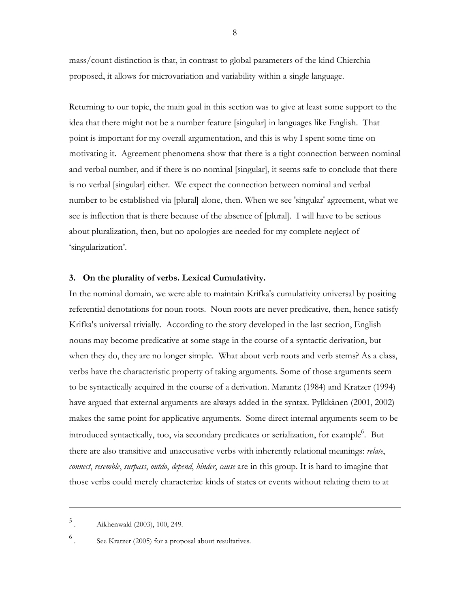mass/count distinction is that, in contrast to global parameters of the kind Chierchia proposed, it allows for microvariation and variability within a single language.

Returning to our topic, the main goal in this section was to give at least some support to the idea that there might not be a number feature [singular] in languages like English. That point is important for my overall argumentation, and this is why I spent some time on motivating it. Agreement phenomena show that there is a tight connection between nominal and verbal number, and if there is no nominal [singular], it seems safe to conclude that there is no verbal [singular] either. We expect the connection between nominal and verbal number to be established via [plural] alone, then. When we see 'singular' agreement, what we see is inflection that is there because of the absence of [plural]. I will have to be serious about pluralization, then, but no apologies are needed for my complete neglect of 'singularization'.

#### **3. On the plurality of verbs. Lexical Cumulativity.**

In the nominal domain, we were able to maintain Krifka's cumulativity universal by positing referential denotations for noun roots. Noun roots are never predicative, then, hence satisfy Krifka's universal trivially. According to the story developed in the last section, English nouns may become predicative at some stage in the course of a syntactic derivation, but when they do, they are no longer simple. What about verb roots and verb stems? As a class, verbs have the characteristic property of taking arguments. Some of those arguments seem to be syntactically acquired in the course of a derivation. Marantz (1984) and Kratzer (1994) have argued that external arguments are always added in the syntax. Pylkkänen (2001, 2002) makes the same point for applicative arguments. Some direct internal arguments seem to be introduced syntactically, too, via secondary predicates or serialization, for example<sup>6</sup>. But there are also transitive and unaccusative verbs with inherently relational meanings: *relate*, *connect*, *resemble*, *surpass*, *outdo*, *depend*, *hinder*, *cause* are in this group. It is hard to imagine that those verbs could merely characterize kinds of states or events without relating them to at

<sup>5</sup> . Aikhenwald (2003), 100, 249.

<sup>6</sup> . See Kratzer (2005) for <sup>a</sup> proposal about resultatives.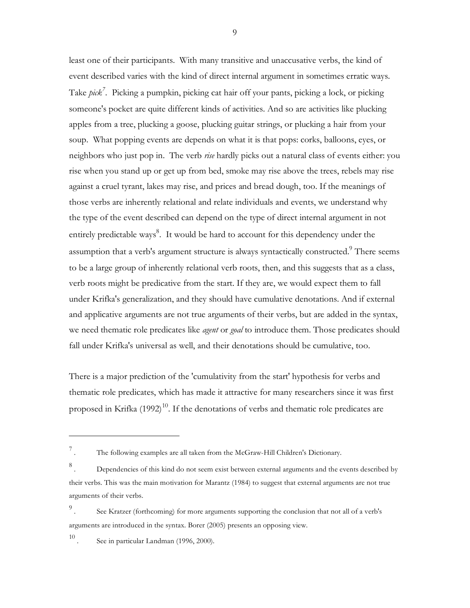least one of their participants. With many transitive and unaccusative verbs, the kind of event described varies with the kind of direct internal argument in sometimes erratic ways. Take *pick7* . Picking a pumpkin, picking cat hair off your pants, picking a lock, or picking someone's pocket are quite different kinds of activities. And so are activities like plucking apples from a tree, plucking a goose, plucking guitar strings, or plucking a hair from your soup. What popping events are depends on what it is that pops: corks, balloons, eyes, or neighbors who just pop in. The verb *rise* hardly picks out a natural class of events either: you rise when you stand up or get up from bed, smoke may rise above the trees, rebels may rise against a cruel tyrant, lakes may rise, and prices and bread dough, too. If the meanings of those verbs are inherently relational and relate individuals and events, we understand why the type of the event described can depend on the type of direct internal argument in not entirely predictable ways<sup>8</sup>. It would be hard to account for this dependency under the assumption that a verb's argument structure is always syntactically constructed.<sup>9</sup> There seems to be a large group of inherently relational verb roots, then, and this suggests that as a class, verb roots might be predicative from the start. If they are, we would expect them to fall under Krifka's generalization, and they should have cumulative denotations. And if external and applicative arguments are not true arguments of their verbs, but are added in the syntax, we need thematic role predicates like *agent* or *goal* to introduce them. Those predicates should fall under Krifka's universal as well, and their denotations should be cumulative, too.

There is a major prediction of the 'cumulativity from the start' hypothesis for verbs and thematic role predicates, which has made it attractive for many researchers since it was first proposed in Krifka (1992) $^{10}$ . If the denotations of verbs and thematic role predicates are

### $10$ . See in particular Landman (1996, 2000).

 $\overline{a}$ 

9

 $^7$ . The following examples are all taken from the McGraw-Hill Children's Dictionary.

<sup>&</sup>lt;sup>8</sup>. Dependencies of this kind do not seem exist between external arguments and the events described by their verbs. This was the main motivation for Marantz (1984) to suggest that external arguments are not true arguments of their verbs.

<sup>&</sup>lt;sup>9</sup> . See Kratzer (forthcoming) for more arguments supporting the conclusion that not all of a verb's arguments are introduced in the syntax. Borer (2005) presents an opposing view.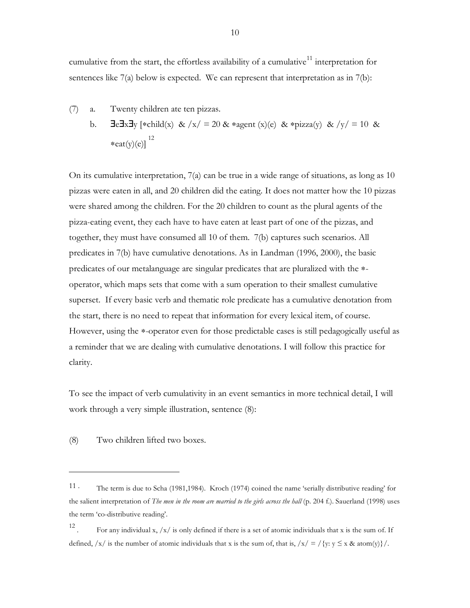cumulative from the start, the effortless availability of a cumulative $^{11}$  interpretation for sentences like 7(a) below is expected. We can represent that interpretation as in 7(b):

- (7) a. Twenty children ate ten pizzas.
	- b.  $\exists e \exists x \exists y$  [\*child(x) & /x/ = 20 & \*agent (x)(e) & \*pizza(y) & /y/ = 10 & \*eat(y)(e)] $^{12}$

On its cumulative interpretation, 7(a) can be true in a wide range of situations, as long as 10 pizzas were eaten in all, and 20 children did the eating. It does not matter how the 10 pizzas were shared among the children. For the 20 children to count as the plural agents of the pizza-eating event, they each have to have eaten at least part of one of the pizzas, and together, they must have consumed all 10 of them. 7(b) captures such scenarios. All predicates in 7(b) have cumulative denotations. As in Landman (1996, 2000), the basic predicates of our metalanguage are singular predicates that are pluralized with the ∗ operator, which maps sets that come with a sum operation to their smallest cumulative superset. If every basic verb and thematic role predicate has a cumulative denotation from the start, there is no need to repeat that information for every lexical item, of course. However, using the ∗-operator even for those predictable cases is still pedagogically useful as a reminder that we are dealing with cumulative denotations. I will follow this practice for clarity.

To see the impact of verb cumulativity in an event semantics in more technical detail, I will work through a very simple illustration, sentence (8):

(8) Two children lifted two boxes.

<sup>11</sup> . The term is due to Scha (1981,1984). Kroch (1974) coined the name 'serially distributive reading' for the salient interpretation of *The men in the room are married to the girls across the hall* (p. 204 f.). Sauerland (1998) uses the term 'co-distributive reading'.

<sup>&</sup>lt;sup>12</sup>. For any individual x,  $/x/$  is only defined if there is a set of atomic individuals that x is the sum of. If defined,  $/x/$  is the number of atomic individuals that x is the sum of, that is,  $/x/ = / \{y: y \le x \& \text{atom}(y)\}$ .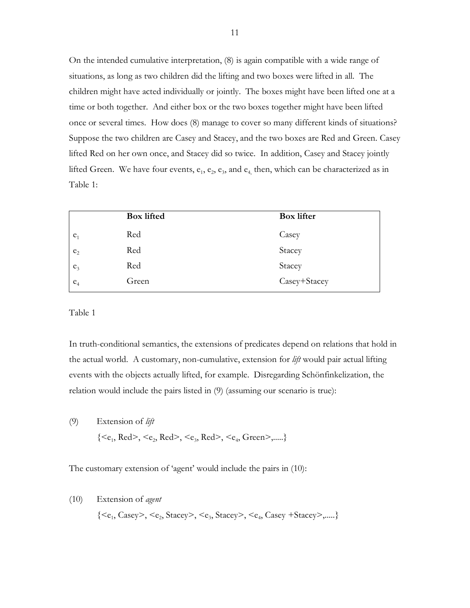On the intended cumulative interpretation, (8) is again compatible with a wide range of situations, as long as two children did the lifting and two boxes were lifted in all. The children might have acted individually or jointly. The boxes might have been lifted one at a time or both together. And either box or the two boxes together might have been lifted once or several times. How does (8) manage to cover so many different kinds of situations? Suppose the two children are Casey and Stacey, and the two boxes are Red and Green. Casey lifted Red on her own once, and Stacey did so twice. In addition, Casey and Stacey jointly lifted Green. We have four events,  $e_1$ ,  $e_2$ ,  $e_3$ , and  $e_4$ , then, which can be characterized as in Table 1:

|                | <b>Box lifted</b> | <b>Box lifter</b> |
|----------------|-------------------|-------------------|
| $e_1$          | Red               | Casey             |
| e <sub>2</sub> | Red               | Stacey            |
| $e_3$          | Red               | Stacey            |
| $e_4$          | Green             | Casey+Stacey      |

#### Table 1

In truth-conditional semantics, the extensions of predicates depend on relations that hold in the actual world. A customary, non-cumulative, extension for *lift* would pair actual lifting events with the objects actually lifted, for example. Disregarding Schönfinkelization, the relation would include the pairs listed in (9) (assuming our scenario is true):

(9) Extension of *lift*  ${ ,  ,  ,  ,....}$ 

The customary extension of 'agent' would include the pairs in (10):

(10) Extension of *agent*  ${}}$ ,  ${}}$ ,  ${}}$ ,  ${}}$ ,.....}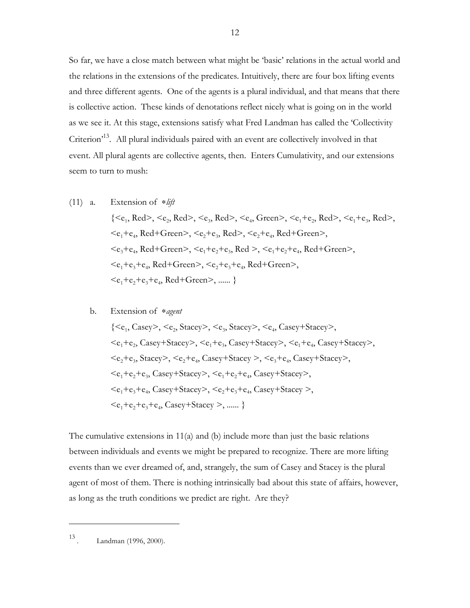So far, we have a close match between what might be 'basic' relations in the actual world and the relations in the extensions of the predicates. Intuitively, there are four box lifting events and three different agents. One of the agents is a plural individual, and that means that there is collective action. These kinds of denotations reflect nicely what is going on in the world as we see it. At this stage, extensions satisfy what Fred Landman has called the 'Collectivity Criterion<sup>13</sup>. All plural individuals paired with an event are collectively involved in that event. All plural agents are collective agents, then. Enters Cumulativity, and our extensions seem to turn to mush:

## (11) a. Extension of ∗*lift*  $\{\langle e_1, \text{Red}\rangle, \langle e_2, \text{Red}\rangle, \langle e_3, \text{Red}\rangle, \langle e_4, \text{Green}\rangle, \langle e_1 + e_2, \text{Red}\rangle, \langle e_1 + e_3, \text{Red}\rangle, \}$  $\langle e_1 + e_4, \text{Red} + \text{Green} \rangle, \langle e_2 + e_3, \text{Red} \rangle, \langle e_2 + e_4, \text{Red} + \text{Green} \rangle,$  $\langle e_3 + e_4, \text{Red} + \text{Green} \rangle, \langle e_1 + e_2 + e_3, \text{Red} \rangle, \langle e_1 + e_2 + e_4, \text{Red} + \text{Green} \rangle,$  $\langle e_1+e_3+e_4, \text{Red}+Green \rangle, \langle e_2+e_3+e_4, \text{Red}+Green \rangle,$  $\langle e_1 + e_2 + e_3 + e_4, \text{Red} + \text{Green} \rangle, \dots$

#### b. Extension of ∗*agent*

 $\{\langle e_1, \text{Casey>}\rangle, \langle e_2, \text{Statey>}\rangle, \langle e_3, \text{Statey>}\rangle, \langle e_4, \text{Casey+Statey>}\rangle,$  $\langle e_1 + e_2, \text{Casey+Stack} \rangle, \langle e_1 + e_3, \text{Casey+Stack} \rangle, \langle e_1 + e_4, \text{Casey+Stack} \rangle,$  $\langle e_2+e_3, Stacey \rangle, \langle e_2+e_4, Casey+Stacey \rangle, \langle e_3+e_4, Casey+Stacey \rangle,$  $\langle e_1 + e_2 + e_3, \text{Casey+Stack} \rangle, \langle e_1 + e_2 + e_4, \text{Casey+Stack} \rangle,$  $\langle e_1 + e_3 + e_4, \text{Casey+Stack} \rangle, \langle e_2 + e_3 + e_4, \text{Casey+Stack} \rangle,$  $\langle e_1 + e_2 + e_3 + e_4, \text{Casey+Stack} \rangle$ , ...... }

The cumulative extensions in  $11(a)$  and (b) include more than just the basic relations between individuals and events we might be prepared to recognize. There are more lifting events than we ever dreamed of, and, strangely, the sum of Casey and Stacey is the plural agent of most of them. There is nothing intrinsically bad about this state of affairs, however, as long as the truth conditions we predict are right. Are they?

<sup>13</sup> . Landman (1996, 2000).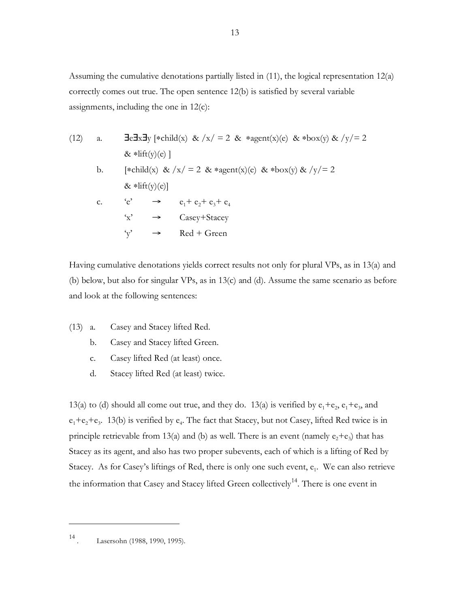Assuming the cumulative denotations partially listed in (11), the logical representation 12(a) correctly comes out true. The open sentence 12(b) is satisfied by several variable assignments, including the one in  $12(c)$ :

(12) a. 
$$
\exists e \exists x \exists y
$$
[\*child(x) & /x/ = 2 & \*agent(x)(e) & \*box(y) & /y/ = 2  
\n& \*lift(y)(e) ]  
\nb. [\*child(x) & /x/ = 2 & \*agent(x)(e) & \*box(y) & /y/ = 2  
\n& \*lift(y)(e)]  
\nc. 'e' \rightarrow e\_1 + e\_2 + e\_3 + e\_4  
\n'x' \rightarrow Casey + Stecey  
\n'y' \rightarrow Red + Green

Having cumulative denotations yields correct results not only for plural VPs, as in 13(a) and (b) below, but also for singular VPs, as in 13(c) and (d). Assume the same scenario as before and look at the following sentences:

- (13) a. Casey and Stacey lifted Red.
	- b. Casey and Stacey lifted Green.
	- c. Casey lifted Red (at least) once.
	- d. Stacey lifted Red (at least) twice.

13(a) to (d) should all come out true, and they do. 13(a) is verified by  $e_1+e_2$ ,  $e_1+e_3$ , and  $e_1 + e_2 + e_3$ . 13(b) is verified by  $e_4$ . The fact that Stacey, but not Casey, lifted Red twice is in principle retrievable from 13(a) and (b) as well. There is an event (namely  $e_2+e_3$ ) that has Stacey as its agent, and also has two proper subevents, each of which is a lifting of Red by Stacey. As for Casey's liftings of Red, there is only one such event,  $e_1$ . We can also retrieve the information that Casey and Stacey lifted Green collectively<sup>14</sup>. There is one event in

<sup>14</sup> . Lasersohn (1988, 1990, 1995).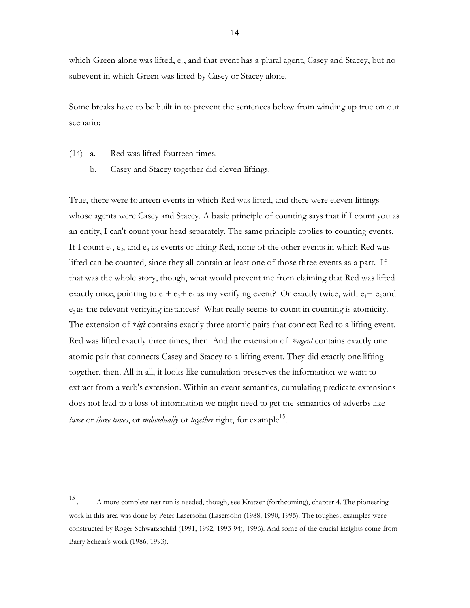which Green alone was lifted,  $e_4$ , and that event has a plural agent, Casey and Stacey, but no subevent in which Green was lifted by Casey or Stacey alone.

Some breaks have to be built in to prevent the sentences below from winding up true on our scenario:

(14) a. Red was lifted fourteen times.

 $\overline{a}$ 

b. Casey and Stacey together did eleven liftings.

True, there were fourteen events in which Red was lifted, and there were eleven liftings whose agents were Casey and Stacey. A basic principle of counting says that if I count you as an entity, I can't count your head separately. The same principle applies to counting events. If I count  $e_1$ ,  $e_2$ , and  $e_3$  as events of lifting Red, none of the other events in which Red was lifted can be counted, since they all contain at least one of those three events as a part. If that was the whole story, though, what would prevent me from claiming that Red was lifted exactly once, pointing to  $e_1 + e_2 + e_3$  as my verifying event? Or exactly twice, with  $e_1 + e_2$  and  $e_3$  as the relevant verifying instances? What really seems to count in counting is atomicity. The extension of ∗*lift* contains exactly three atomic pairs that connect Red to a lifting event. Red was lifted exactly three times, then. And the extension of ∗*agent* contains exactly one atomic pair that connects Casey and Stacey to a lifting event. They did exactly one lifting together, then. All in all, it looks like cumulation preserves the information we want to extract from a verb's extension. Within an event semantics, cumulating predicate extensions does not lead to a loss of information we might need to get the semantics of adverbs like *twice* or *three times*, or *individually* or *together* right, for example 15 .

<sup>15</sup> . <sup>A</sup> more complete test run is needed, though, see Kratzer (forthcoming), chapter 4. The pioneering work in this area was done by Peter Lasersohn (Lasersohn (1988, 1990, 1995). The toughest examples were constructed by Roger Schwarzschild (1991, 1992, 1993-94), 1996). And some of the crucial insights come from Barry Schein's work (1986, 1993).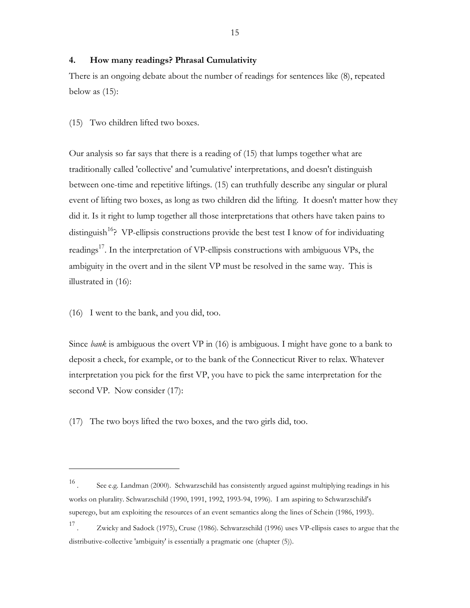#### **4. How many readings? Phrasal Cumulativity**

There is an ongoing debate about the number of readings for sentences like (8), repeated below as (15):

(15) Two children lifted two boxes.

Our analysis so far says that there is a reading of (15) that lumps together what are traditionally called 'collective' and 'cumulative' interpretations, and doesn't distinguish between one-time and repetitive liftings. (15) can truthfully describe any singular or plural event of lifting two boxes, as long as two children did the lifting. It doesn't matter how they did it. Is it right to lump together all those interpretations that others have taken pains to distinguish<sup>16</sup>? VP-ellipsis constructions provide the best test I know of for individuating readings<sup>17</sup>. In the interpretation of VP-ellipsis constructions with ambiguous VPs, the ambiguity in the overt and in the silent VP must be resolved in the same way. This is illustrated in (16):

(16) I went to the bank, and you did, too.

 $\overline{a}$ 

Since *bank* is ambiguous the overt VP in (16) is ambiguous. I might have gone to a bank to deposit a check, for example, or to the bank of the Connecticut River to relax. Whatever interpretation you pick for the first VP, you have to pick the same interpretation for the second VP. Now consider  $(17)$ :

(17) The two boys lifted the two boxes, and the two girls did, too.

<sup>16</sup> . See e.g. Landman (2000). Schwarzschild has consistently argued against multiplying readings in his works on plurality. Schwarzschild (1990, 1991, 1992, 1993-94, 1996). I am aspiring to Schwarzschild's superego, but am exploiting the resources of an event semantics along the lines of Schein (1986, 1993).

<sup>&</sup>lt;sup>17</sup> . Zwicky and Sadock (1975), Cruse (1986). Schwarzschild (1996) uses VP-ellipsis cases to argue that the distributive-collective 'ambiguity' is essentially a pragmatic one (chapter (5)).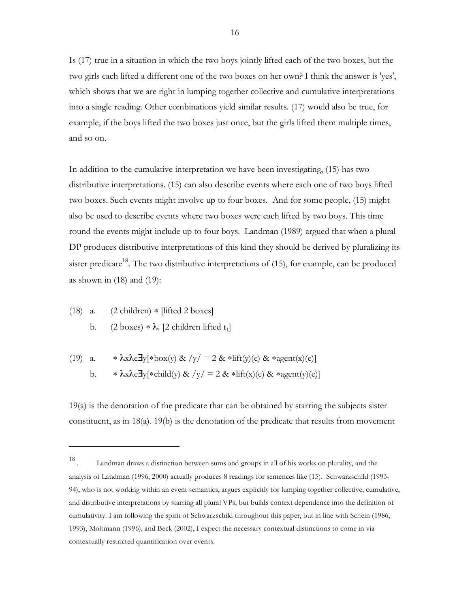Is (17) true in a situation in which the two boys jointly lifted each of the two boxes, but the two girls each lifted a different one of the two boxes on her own? I think the answer is 'yes', which shows that we are right in lumping together collective and cumulative interpretations into a single reading. Other combinations yield similar results. (17) would also be true, for example, if the boys lifted the two boxes just once, but the girls lifted them multiple times, and so on.

In addition to the cumulative interpretation we have been investigating, (15) has two distributive interpretations. (15) can also describe events where each one of two boys lifted two boxes. Such events might involve up to four boxes. And for some people, (15) might also be used to describe events where two boxes were each lifted by two boys. This time round the events might include up to four boys. Landman (1989) argued that when a plural DP produces distributive interpretations of this kind they should be derived by pluralizing its sister predicate<sup>18</sup>. The two distributive interpretations of (15), for example, can be produced as shown in  $(18)$  and  $(19)$ :

(18) a.  $(2 \text{ children})$  \* [lifted 2 boxes] b. (2 boxes)  $*\lambda_1$  [2 children lifted t<sub>1</sub>]

 $\overline{a}$ 

(19) a. 
$$
\ast \lambda x \lambda e \exists y [\ast box(y) \& y / y] = 2 \& \ast lift(y)(e) \& \ast agent(x)(e)]
$$
 b.  $\ast \lambda x \lambda e \exists y [\ast child(y) \& y / y] = 2 \& \ast lift(x)(e) \& \ast agent(y)(e)]$ 

19(a) is the denotation of the predicate that can be obtained by starring the subjects sister constituent, as in 18(a). 19(b) is the denotation of the predicate that results from movement

<sup>18</sup> . Landman draws <sup>a</sup> distinction between sums and groups in all of his works on plurality, and the analysis of Landman (1996, 2000) actually produces 8 readings for sentences like (15). Schwarzschild (1993- 94), who is not working within an event semantics, argues explicitly for lumping together collective, cumulative, and distributive interpretations by starring all plural VPs, but builds context dependence into the definition of cumulativity. I am following the spirit of Schwarzschild throughout this paper, but in line with Schein (1986, 1993), Moltmann (1996), and Beck (2002), I expect the necessary contextual distinctions to come in via contextually restricted quantification over events.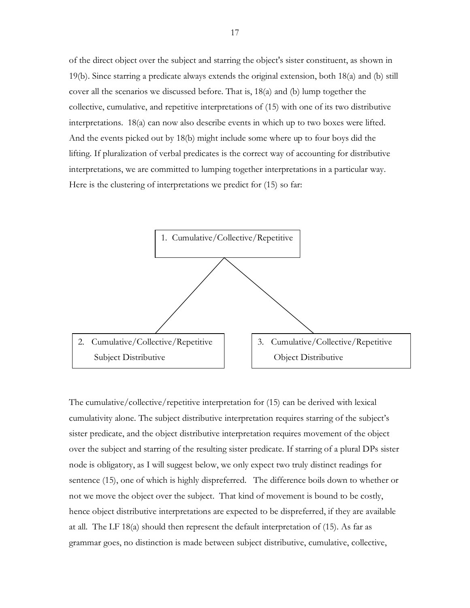of the direct object over the subject and starring the object's sister constituent, as shown in 19(b). Since starring a predicate always extends the original extension, both 18(a) and (b) still cover all the scenarios we discussed before. That is, 18(a) and (b) lump together the collective, cumulative, and repetitive interpretations of (15) with one of its two distributive interpretations. 18(a) can now also describe events in which up to two boxes were lifted. And the events picked out by 18(b) might include some where up to four boys did the lifting. If pluralization of verbal predicates is the correct way of accounting for distributive interpretations, we are committed to lumping together interpretations in a particular way. Here is the clustering of interpretations we predict for (15) so far:



The cumulative/collective/repetitive interpretation for (15) can be derived with lexical cumulativity alone. The subject distributive interpretation requires starring of the subject's sister predicate, and the object distributive interpretation requires movement of the object over the subject and starring of the resulting sister predicate. If starring of a plural DPs sister node is obligatory, as I will suggest below, we only expect two truly distinct readings for sentence (15), one of which is highly dispreferred. The difference boils down to whether or not we move the object over the subject. That kind of movement is bound to be costly, hence object distributive interpretations are expected to be dispreferred, if they are available at all. The LF 18(a) should then represent the default interpretation of (15). As far as grammar goes, no distinction is made between subject distributive, cumulative, collective,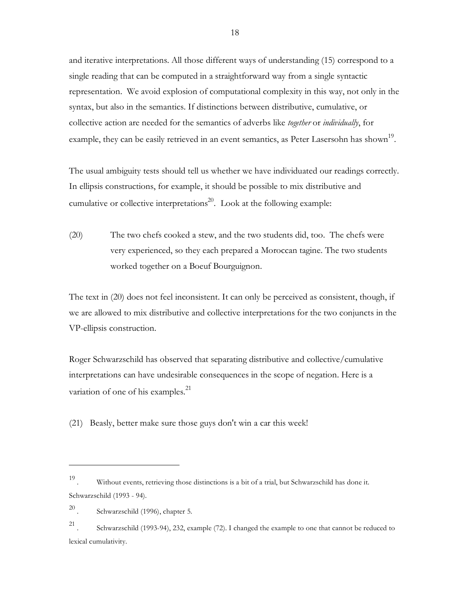and iterative interpretations. All those different ways of understanding (15) correspond to a single reading that can be computed in a straightforward way from a single syntactic representation. We avoid explosion of computational complexity in this way, not only in the syntax, but also in the semantics. If distinctions between distributive, cumulative, or collective action are needed for the semantics of adverbs like *together* or *individually*, for example, they can be easily retrieved in an event semantics, as Peter Lasersohn has shown<sup>19</sup>.

The usual ambiguity tests should tell us whether we have individuated our readings correctly. In ellipsis constructions, for example, it should be possible to mix distributive and cumulative or collective interpretations<sup>20</sup>. Look at the following example:

(20) The two chefs cooked a stew, and the two students did, too. The chefs were very experienced, so they each prepared a Moroccan tagine. The two students worked together on a Boeuf Bourguignon.

The text in (20) does not feel inconsistent. It can only be perceived as consistent, though, if we are allowed to mix distributive and collective interpretations for the two conjuncts in the VP-ellipsis construction.

Roger Schwarzschild has observed that separating distributive and collective/cumulative interpretations can have undesirable consequences in the scope of negation. Here is a variation of one of his examples.<sup>21</sup>

(21) Beasly, better make sure those guys don't win a car this week!

<sup>19</sup> . Without events, retrieving those distinctions is <sup>a</sup> bit of <sup>a</sup> trial, but Schwarzschild has done it. Schwarzschild (1993 - 94).

 $^{20}$ . Schwarzschild (1996), chapter 5.

<sup>&</sup>lt;sup>21</sup> . Schwarzschild (1993-94), 232, example (72). I changed the example to one that cannot be reduced to lexical cumulativity.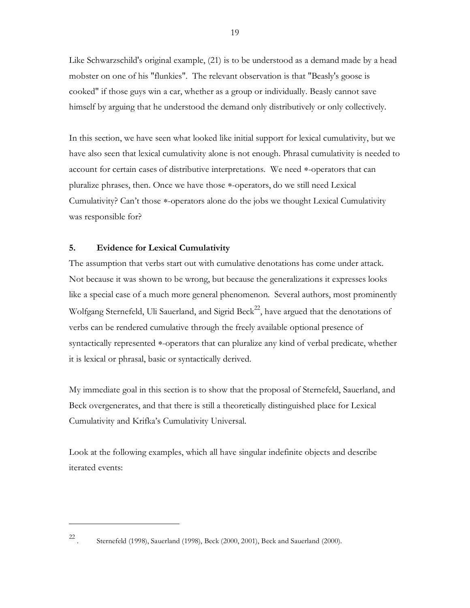Like Schwarzschild's original example, (21) is to be understood as a demand made by a head mobster on one of his "flunkies". The relevant observation is that "Beasly's goose is cooked" if those guys win a car, whether as a group or individually. Beasly cannot save himself by arguing that he understood the demand only distributively or only collectively.

In this section, we have seen what looked like initial support for lexical cumulativity, but we have also seen that lexical cumulativity alone is not enough. Phrasal cumulativity is needed to account for certain cases of distributive interpretations. We need ∗-operators that can pluralize phrases, then. Once we have those ∗-operators, do we still need Lexical Cumulativity? Can't those ∗-operators alone do the jobs we thought Lexical Cumulativity was responsible for?

#### **5. Evidence for Lexical Cumulativity**

 $\overline{a}$ 

The assumption that verbs start out with cumulative denotations has come under attack. Not because it was shown to be wrong, but because the generalizations it expresses looks like a special case of a much more general phenomenon. Several authors, most prominently Wolfgang Sternefeld, Uli Sauerland, and Sigrid Beck<sup>22</sup>, have argued that the denotations of verbs can be rendered cumulative through the freely available optional presence of syntactically represented \*-operators that can pluralize any kind of verbal predicate, whether it is lexical or phrasal, basic or syntactically derived.

My immediate goal in this section is to show that the proposal of Sternefeld, Sauerland, and Beck overgenerates, and that there is still a theoretically distinguished place for Lexical Cumulativity and Krifka's Cumulativity Universal.

Look at the following examples, which all have singular indefinite objects and describe iterated events:

<sup>22</sup> . Sternefeld (1998), Sauerland (1998), Beck (2000, 2001), Beck and Sauerland (2000).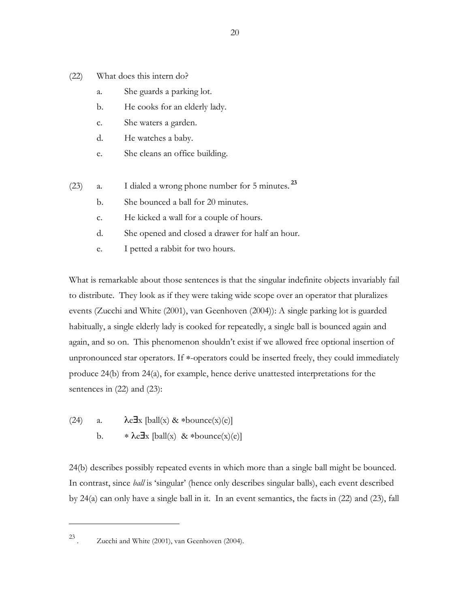- (22) What does this intern do?
	- a. She guards a parking lot.
	- b. He cooks for an elderly lady.
	- c. She waters a garden.
	- d. He watches a baby.
	- e. She cleans an office building.
- (23) a. I dialed a wrong phone number for 5 minutes. **23**
	- b. She bounced a ball for 20 minutes.
	- c. He kicked a wall for a couple of hours.
	- d. She opened and closed a drawer for half an hour.
	- e. I petted a rabbit for two hours.

What is remarkable about those sentences is that the singular indefinite objects invariably fail to distribute. They look as if they were taking wide scope over an operator that pluralizes events (Zucchi and White (2001), van Geenhoven (2004)): A single parking lot is guarded habitually, a single elderly lady is cooked for repeatedly, a single ball is bounced again and again, and so on. This phenomenon shouldn't exist if we allowed free optional insertion of unpronounced star operators. If ∗-operators could be inserted freely, they could immediately produce 24(b) from 24(a), for example, hence derive unattested interpretations for the sentences in (22) and (23):

(24) a.  $\lambda e \exists x \left[ \text{ball}(x) \& \text{whounce}(x)(e) \right]$ b.  $* \lambda e \exists x \, [\text{ball}(x) \& * \text{bounce}(x)(e)]$ 

24(b) describes possibly repeated events in which more than a single ball might be bounced. In contrast, since *ball* is 'singular' (hence only describes singular balls), each event described by 24(a) can only have a single ball in it. In an event semantics, the facts in (22) and (23), fall

<sup>23</sup> . Zucchi and White (2001), van Geenhoven (2004).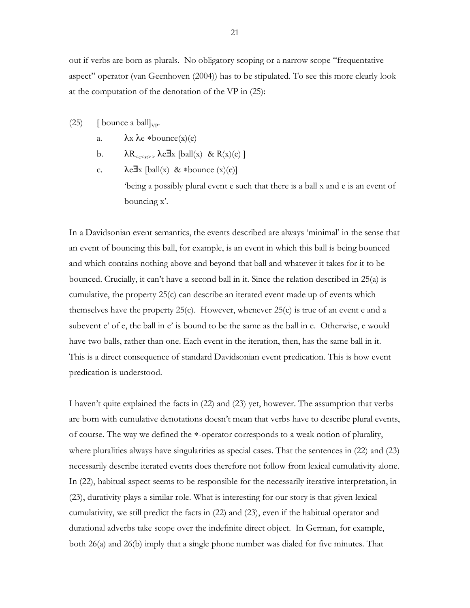out if verbs are born as plurals. No obligatory scoping or a narrow scope "frequentative aspect" operator (van Geenhoven (2004)) has to be stipulated. To see this more clearly look at the computation of the denotation of the VP in (25):

- $(25)$  [bounce a ball]<sub>VP</sub>.
	- a.  $\lambda x \lambda e * bounce(x)(e)$
	- b.  $\lambda R_{\leq e \leq s} \lambda e \exists x \text{ [ball(x) \& R(x)(e)]}$
	- c.  $\lambda e\exists x \left[ \text{ball}(x) \& * \text{bounce}(x)(e) \right]$ 'being a possibly plural event e such that there is a ball x and e is an event of bouncing x'.

In a Davidsonian event semantics, the events described are always 'minimal' in the sense that an event of bouncing this ball, for example, is an event in which this ball is being bounced and which contains nothing above and beyond that ball and whatever it takes for it to be bounced. Crucially, it can't have a second ball in it. Since the relation described in 25(a) is cumulative, the property 25(c) can describe an iterated event made up of events which themselves have the property  $25(c)$ . However, whenever  $25(c)$  is true of an event e and a subevent e' of e, the ball in e' is bound to be the same as the ball in e. Otherwise, e would have two balls, rather than one. Each event in the iteration, then, has the same ball in it. This is a direct consequence of standard Davidsonian event predication. This is how event predication is understood.

I haven't quite explained the facts in (22) and (23) yet, however. The assumption that verbs are born with cumulative denotations doesn't mean that verbs have to describe plural events, of course. The way we defined the ∗-operator corresponds to a weak notion of plurality, where pluralities always have singularities as special cases. That the sentences in (22) and (23) necessarily describe iterated events does therefore not follow from lexical cumulativity alone. In (22), habitual aspect seems to be responsible for the necessarily iterative interpretation, in (23), durativity plays a similar role. What is interesting for our story is that given lexical cumulativity, we still predict the facts in (22) and (23), even if the habitual operator and durational adverbs take scope over the indefinite direct object. In German, for example, both 26(a) and 26(b) imply that a single phone number was dialed for five minutes. That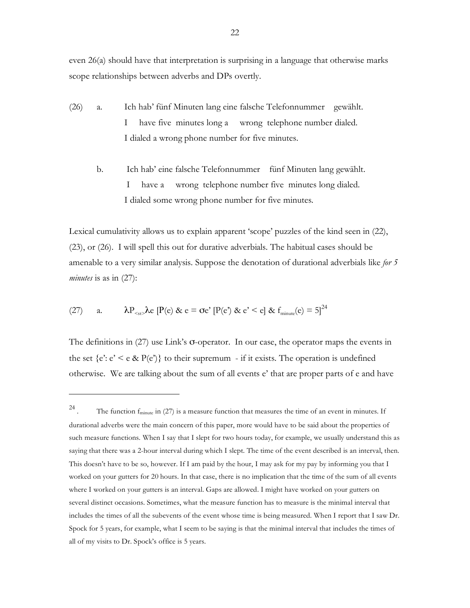even 26(a) should have that interpretation is surprising in a language that otherwise marks scope relationships between adverbs and DPs overtly.

- (26) a. Ich hab' fünf Minuten lang eine falsche Telefonnummer gewählt. I have five minutes long a wrong telephone number dialed. I dialed a wrong phone number for five minutes.
	- b. Ich hab' eine falsche Telefonnummer fünf Minuten lang gewählt. I have a wrong telephone number five minutes long dialed. I dialed some wrong phone number for five minutes.

Lexical cumulativity allows us to explain apparent 'scope' puzzles of the kind seen in (22), (23), or (26). I will spell this out for durative adverbials. The habitual cases should be amenable to a very similar analysis. Suppose the denotation of durational adverbials like *for 5 minutes* is as in (27):

(27) a. 
$$
\lambda P_{\leq st} \lambda e [P(e) \& e = \sigma e' [P(e') \& e' \leq e] \& f_{\text{minute}}(e) = 5]^{24}
$$

 $\overline{a}$ 

The definitions in (27) use Link's σ-operator. In our case, the operator maps the events in the set  $\{e: e' \le e \& P(e')\}$  to their supremum - if it exists. The operation is undefined otherwise. We are talking about the sum of all events e' that are proper parts of e and have

<sup>&</sup>lt;sup>24</sup> . The function f<sub>minute</sub> in (27) is a measure function that measures the time of an event in minutes. If durational adverbs were the main concern of this paper, more would have to be said about the properties of such measure functions. When I say that I slept for two hours today, for example, we usually understand this as saying that there was a 2-hour interval during which I slept. The time of the event described is an interval, then. This doesn't have to be so, however. If I am paid by the hour, I may ask for my pay by informing you that I worked on your gutters for 20 hours. In that case, there is no implication that the time of the sum of all events where I worked on your gutters is an interval. Gaps are allowed. I might have worked on your gutters on several distinct occasions. Sometimes, what the measure function has to measure is the minimal interval that includes the times of all the subevents of the event whose time is being measured. When I report that I saw Dr. Spock for 5 years, for example, what I seem to be saying is that the minimal interval that includes the times of all of my visits to Dr. Spock's office is 5 years.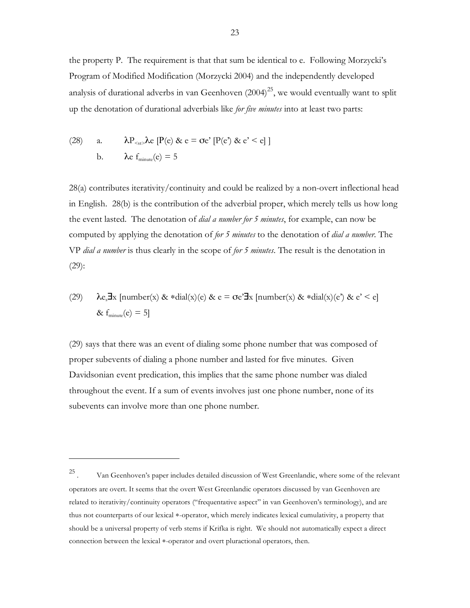the property P. The requirement is that that sum be identical to e. Following Morzycki's Program of Modified Modification (Morzycki 2004) and the independently developed analysis of durational adverbs in van Geenhoven (2004) $^{25}$ , we would eventually want to split up the denotation of durational adverbials like *for five minutes* into at least two parts:

(28) a. 
$$
\lambda P_{\leq st} \lambda e [P(e) \& e = \sigma e' [P(e') \& e' \leq e]
$$
  
b.  $\lambda e f_{\text{minute}}(e) = 5$ 

 $\overline{a}$ 

28(a) contributes iterativity/continuity and could be realized by a non-overt inflectional head in English. 28(b) is the contribution of the adverbial proper, which merely tells us how long the event lasted. The denotation of *dial a number for 5 minutes*, for example, can now be computed by applying the denotation of *for 5 minutes* to the denotation of *dial a number*. The VP *dial a number* is thus clearly in the scope of *for 5 minutes*. The result is the denotation in (29):

(29) 
$$
\lambda e_s \exists x \text{ [number(x) & *dial(x)(e) & e = \sigma e' \exists x \text{ [number(x) & *dial(x)(e') & e' < e]}
$$
  
& f<sub>minute</sub>(e) = 5]

(29) says that there was an event of dialing some phone number that was composed of proper subevents of dialing a phone number and lasted for five minutes. Given Davidsonian event predication, this implies that the same phone number was dialed throughout the event. If a sum of events involves just one phone number, none of its subevents can involve more than one phone number.

<sup>25</sup> . Van Geenhoven's paper includes detailed discussion of West Greenlandic, where some of the relevant operators are overt. It seems that the overt West Greenlandic operators discussed by van Geenhoven are related to iterativity/continuity operators ("frequentative aspect" in van Geenhoven's terminology), and are thus not counterparts of our lexical ∗-operator, which merely indicates lexical cumulativity, a property that should be a universal property of verb stems if Krifka is right. We should not automatically expect a direct connection between the lexical ∗-operator and overt pluractional operators, then.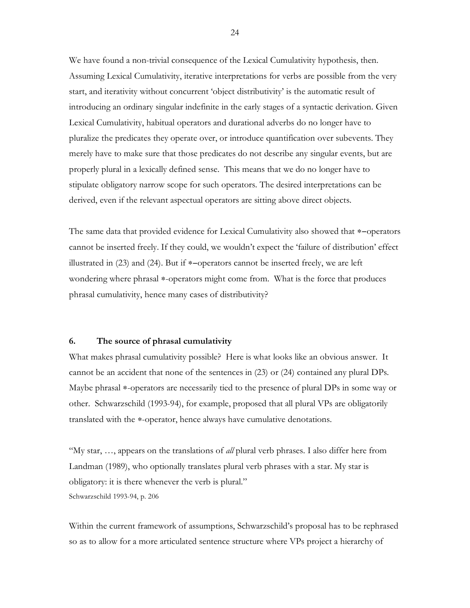We have found a non-trivial consequence of the Lexical Cumulativity hypothesis, then. Assuming Lexical Cumulativity, iterative interpretations for verbs are possible from the very start, and iterativity without concurrent 'object distributivity' is the automatic result of introducing an ordinary singular indefinite in the early stages of a syntactic derivation. Given Lexical Cumulativity, habitual operators and durational adverbs do no longer have to pluralize the predicates they operate over, or introduce quantification over subevents. They merely have to make sure that those predicates do not describe any singular events, but are properly plural in a lexically defined sense. This means that we do no longer have to stipulate obligatory narrow scope for such operators. The desired interpretations can be derived, even if the relevant aspectual operators are sitting above direct objects.

The same data that provided evidence for Lexical Cumulativity also showed that ∗−operators cannot be inserted freely. If they could, we wouldn't expect the 'failure of distribution' effect illustrated in (23) and (24). But if ∗−operators cannot be inserted freely, we are left wondering where phrasal ∗-operators might come from. What is the force that produces phrasal cumulativity, hence many cases of distributivity?

#### **6. The source of phrasal cumulativity**

What makes phrasal cumulativity possible? Here is what looks like an obvious answer. It cannot be an accident that none of the sentences in (23) or (24) contained any plural DPs. Maybe phrasal ∗-operators are necessarily tied to the presence of plural DPs in some way or other. Schwarzschild (1993-94), for example, proposed that all plural VPs are obligatorily translated with the ∗-operator, hence always have cumulative denotations.

"My star, …, appears on the translations of *all* plural verb phrases. I also differ here from Landman (1989), who optionally translates plural verb phrases with a star. My star is obligatory: it is there whenever the verb is plural." Schwarzschild 1993-94, p. 206

Within the current framework of assumptions, Schwarzschild's proposal has to be rephrased so as to allow for a more articulated sentence structure where VPs project a hierarchy of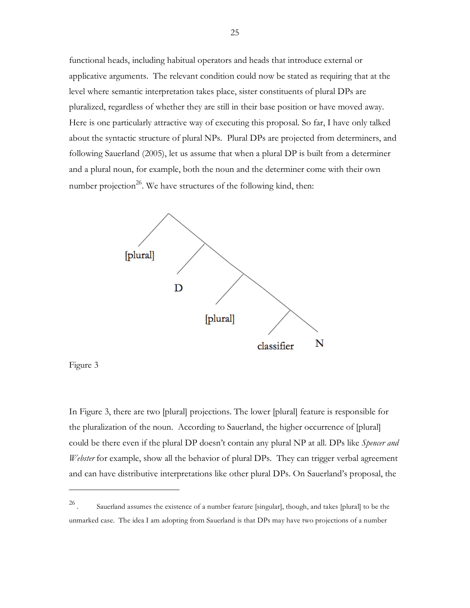functional heads, including habitual operators and heads that introduce external or applicative arguments. The relevant condition could now be stated as requiring that at the level where semantic interpretation takes place, sister constituents of plural DPs are pluralized, regardless of whether they are still in their base position or have moved away. Here is one particularly attractive way of executing this proposal. So far, I have only talked about the syntactic structure of plural NPs. Plural DPs are projected from determiners, and following Sauerland (2005), let us assume that when a plural DP is built from a determiner and a plural noun, for example, both the noun and the determiner come with their own number projection<sup>26</sup>. We have structures of the following kind, then:





 $\overline{a}$ 

In Figure 3, there are two [plural] projections. The lower [plural] feature is responsible for the pluralization of the noun. According to Sauerland, the higher occurrence of [plural] could be there even if the plural DP doesn't contain any plural NP at all. DPs like *Spencer and Webster* for example, show all the behavior of plural DPs. They can trigger verbal agreement and can have distributive interpretations like other plural DPs. On Sauerland's proposal, the

<sup>&</sup>lt;sup>26</sup> . Sauerland assumes the existence of a number feature [singular], though, and takes [plural] to be the unmarked case. The idea I am adopting from Sauerland is that DPs may have two projections of a number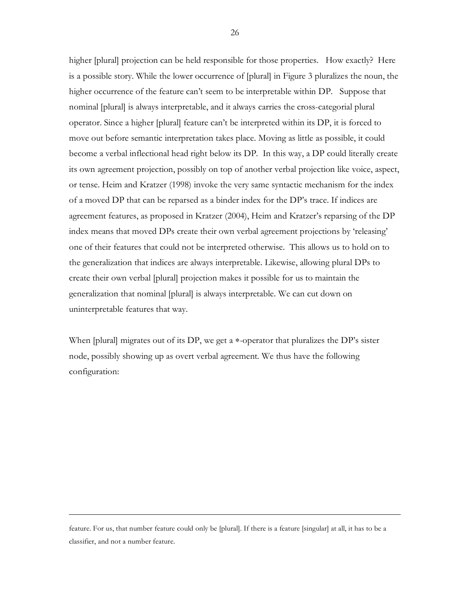higher [plural] projection can be held responsible for those properties. How exactly? Here is a possible story. While the lower occurrence of [plural] in Figure 3 pluralizes the noun, the higher occurrence of the feature can't seem to be interpretable within DP. Suppose that nominal [plural] is always interpretable, and it always carries the cross-categorial plural operator. Since a higher [plural] feature can't be interpreted within its DP, it is forced to move out before semantic interpretation takes place. Moving as little as possible, it could become a verbal inflectional head right below its DP. In this way, a DP could literally create its own agreement projection, possibly on top of another verbal projection like voice, aspect, or tense. Heim and Kratzer (1998) invoke the very same syntactic mechanism for the index of a moved DP that can be reparsed as a binder index for the DP's trace. If indices are agreement features, as proposed in Kratzer (2004), Heim and Kratzer's reparsing of the DP index means that moved DPs create their own verbal agreement projections by 'releasing' one of their features that could not be interpreted otherwise. This allows us to hold on to the generalization that indices are always interpretable. Likewise, allowing plural DPs to create their own verbal [plural] projection makes it possible for us to maintain the generalization that nominal [plural] is always interpretable. We can cut down on uninterpretable features that way.

When [plural] migrates out of its DP, we get a  $*$ -operator that pluralizes the DP's sister node, possibly showing up as overt verbal agreement. We thus have the following configuration:

feature. For us, that number feature could only be [plural]. If there is a feature [singular] at all, it has to be a classifier, and not a number feature.

 $\overline{a}$ 

26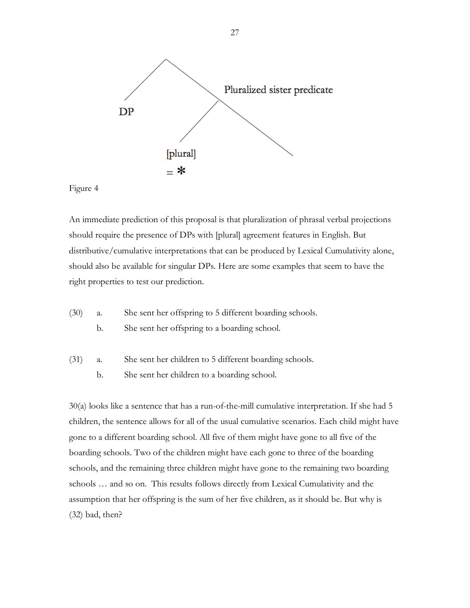

Figure 4

An immediate prediction of this proposal is that pluralization of phrasal verbal projections should require the presence of DPs with [plural] agreement features in English. But distributive/cumulative interpretations that can be produced by Lexical Cumulativity alone, should also be available for singular DPs. Here are some examples that seem to have the right properties to test our prediction.

- (30) a. She sent her offspring to 5 different boarding schools.
	- b. She sent her offspring to a boarding school.
- (31) a. She sent her children to 5 different boarding schools.

b. She sent her children to a boarding school.

30(a) looks like a sentence that has a run-of-the-mill cumulative interpretation. If she had 5 children, the sentence allows for all of the usual cumulative scenarios. Each child might have gone to a different boarding school. All five of them might have gone to all five of the boarding schools. Two of the children might have each gone to three of the boarding schools, and the remaining three children might have gone to the remaining two boarding schools … and so on. This results follows directly from Lexical Cumulativity and the assumption that her offspring is the sum of her five children, as it should be. But why is (32) bad, then?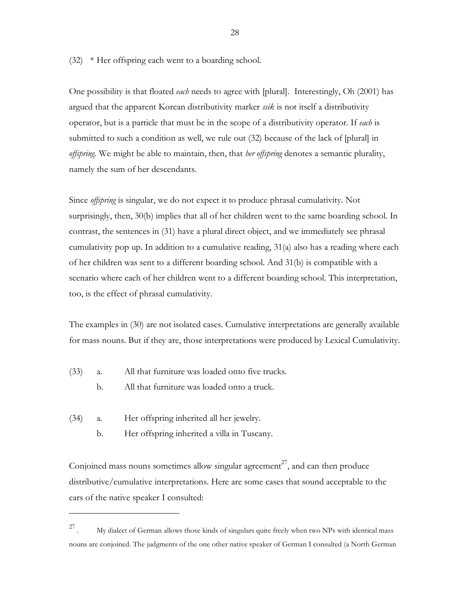(32) \* Her offspring each went to a boarding school.

One possibility is that floated *each* needs to agree with [plural]. Interestingly, Oh (2001) has argued that the apparent Korean distributivity marker *ssik* is not itself a distributivity operator, but is a particle that must be in the scope of a distributivity operator. If *each* is submitted to such a condition as well, we rule out (32) because of the lack of [plural] in *offspring*. We might be able to maintain, then, that *her offspring* denotes a semantic plurality, namely the sum of her descendants.

Since *offspring* is singular, we do not expect it to produce phrasal cumulativity. Not surprisingly, then, 30(b) implies that all of her children went to the same boarding school. In contrast, the sentences in (31) have a plural direct object, and we immediately see phrasal cumulativity pop up. In addition to a cumulative reading, 31(a) also has a reading where each of her children was sent to a different boarding school. And 31(b) is compatible with a scenario where each of her children went to a different boarding school. This interpretation, too, is the effect of phrasal cumulativity.

The examples in (30) are not isolated cases. Cumulative interpretations are generally available for mass nouns. But if they are, those interpretations were produced by Lexical Cumulativity.

- (33) a. All that furniture was loaded onto five trucks.
	- b. All that furniture was loaded onto a truck.
- (34) a. Her offspring inherited all her jewelry.

 $\overline{a}$ 

b. Her offspring inherited a villa in Tuscany.

Conjoined mass nouns sometimes allow singular agreement<sup>27</sup>, and can then produce distributive/cumulative interpretations. Here are some cases that sound acceptable to the ears of the native speaker I consulted:

<sup>&</sup>lt;sup>27</sup> . My dialect of German allows those kinds of singulars quite freely when two NPs with identical mass nouns are conjoined. The judgments of the one other native speaker of German I consulted (a North German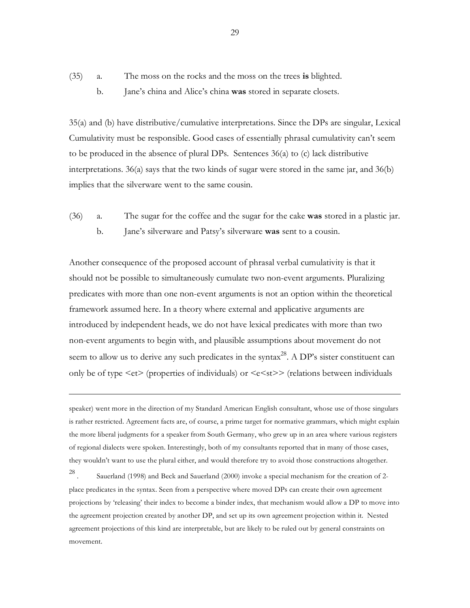- (35) a. The moss on the rocks and the moss on the trees **is** blighted.
	- b. Jane's china and Alice's china **was** stored in separate closets.

35(a) and (b) have distributive/cumulative interpretations. Since the DPs are singular, Lexical Cumulativity must be responsible. Good cases of essentially phrasal cumulativity can't seem to be produced in the absence of plural DPs. Sentences 36(a) to (c) lack distributive interpretations. 36(a) says that the two kinds of sugar were stored in the same jar, and 36(b) implies that the silverware went to the same cousin.

(36) a. The sugar for the coffee and the sugar for the cake **was** stored in a plastic jar. b. Jane's silverware and Patsy's silverware **was** sent to a cousin.

Another consequence of the proposed account of phrasal verbal cumulativity is that it should not be possible to simultaneously cumulate two non-event arguments. Pluralizing predicates with more than one non-event arguments is not an option within the theoretical framework assumed here. In a theory where external and applicative arguments are introduced by independent heads, we do not have lexical predicates with more than two non-event arguments to begin with, and plausible assumptions about movement do not seem to allow us to derive any such predicates in the syntax $^{28}$ . A DP's sister constituent can only be of type  $\leq$ et $>$  (properties of individuals) or  $\leq$ e $\leq$ st $\geq$  (relations between individuals

speaker) went more in the direction of my Standard American English consultant, whose use of those singulars is rather restricted. Agreement facts are, of course, a prime target for normative grammars, which might explain the more liberal judgments for a speaker from South Germany, who grew up in an area where various registers of regional dialects were spoken. Interestingly, both of my consultants reported that in many of those cases, they wouldn't want to use the plural either, and would therefore try to avoid those constructions altogether.

 $\overline{a}$ 

<sup>28</sup> . Sauerland (1998) and Beck and Sauerland (2000) invoke a special mechanism for the creation of 2place predicates in the syntax. Seen from a perspective where moved DPs can create their own agreement projections by 'releasing' their index to become a binder index, that mechanism would allow a DP to move into the agreement projection created by another DP, and set up its own agreement projection within it. Nested agreement projections of this kind are interpretable, but are likely to be ruled out by general constraints on movement.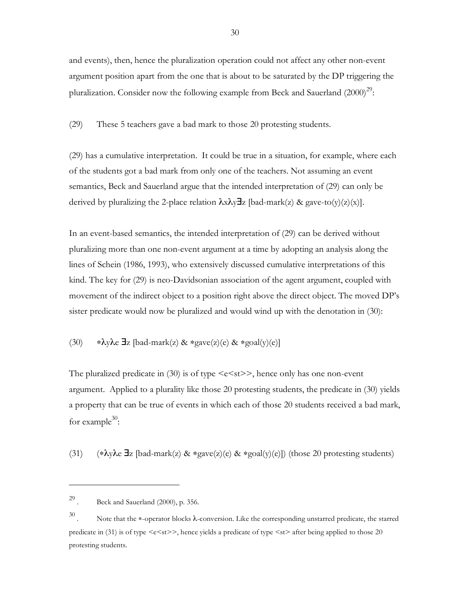and events), then, hence the pluralization operation could not affect any other non-event argument position apart from the one that is about to be saturated by the DP triggering the pluralization. Consider now the following example from Beck and Sauerland (2000)<sup>29</sup>:

(29) These 5 teachers gave a bad mark to those 20 protesting students.

(29) has a cumulative interpretation. It could be true in a situation, for example, where each of the students got a bad mark from only one of the teachers. Not assuming an event semantics, Beck and Sauerland argue that the intended interpretation of (29) can only be derived by pluralizing the 2-place relation  $\lambda x \lambda y \exists z$  [bad-mark(z) & gave-to(y)(z)(x)].

In an event-based semantics, the intended interpretation of (29) can be derived without pluralizing more than one non-event argument at a time by adopting an analysis along the lines of Schein (1986, 1993), who extensively discussed cumulative interpretations of this kind. The key for (29) is neo-Davidsonian association of the agent argument, coupled with movement of the indirect object to a position right above the direct object. The moved DP's sister predicate would now be pluralized and would wind up with the denotation in (30):

(30) 
$$
\ast \lambda y \lambda e \exists z
$$
 [bad-mark(z) &  $\ast \text{gave}(z)(e) \& \ast \text{goal}(y)(e)$ ]

The pluralized predicate in (30) is of type  $\leq e \leq st \geq 1$ , hence only has one non-event argument. Applied to a plurality like those 20 protesting students, the predicate in (30) yields a property that can be true of events in which each of those 20 students received a bad mark, for example $^{30}$ :

(31)  $(*\lambda y \lambda e \exists z \; [bad-mark(z) \& *gave(z)(e) \& *goal(y)(e)])$  (those 20 protesting students)

 $29$ . Beck and Sauerland (2000), p. 356.

<sup>30</sup> . Note that the <sup>∗</sup>-operator blocks <sup>λ</sup>-conversion. Like the corresponding unstarred predicate, the starred predicate in (31) is of type  $\leq \leq$  >>, hence yields a predicate of type  $\leq$  after being applied to those 20 protesting students.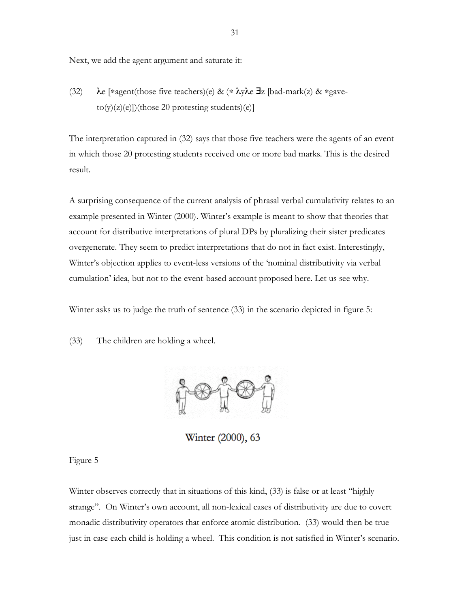Next, we add the agent argument and saturate it:

(32)  $\lambda e$  [\*agent(those five teachers)(e) & (\* $\lambda y \lambda e$   $\exists z$  [bad-mark(z) & \*gave $to(y)(z)(e)]$ )(those 20 protesting students)(e)]

The interpretation captured in (32) says that those five teachers were the agents of an event in which those 20 protesting students received one or more bad marks. This is the desired result.

A surprising consequence of the current analysis of phrasal verbal cumulativity relates to an example presented in Winter (2000). Winter's example is meant to show that theories that account for distributive interpretations of plural DPs by pluralizing their sister predicates overgenerate. They seem to predict interpretations that do not in fact exist. Interestingly, Winter's objection applies to event-less versions of the 'nominal distributivity via verbal cumulation' idea, but not to the event-based account proposed here. Let us see why.

Winter asks us to judge the truth of sentence (33) in the scenario depicted in figure 5:

(33) The children are holding a wheel.



Winter (2000), 63

Figure 5

Winter observes correctly that in situations of this kind, (33) is false or at least "highly strange". On Winter's own account, all non-lexical cases of distributivity are due to covert monadic distributivity operators that enforce atomic distribution. (33) would then be true just in case each child is holding a wheel. This condition is not satisfied in Winter's scenario.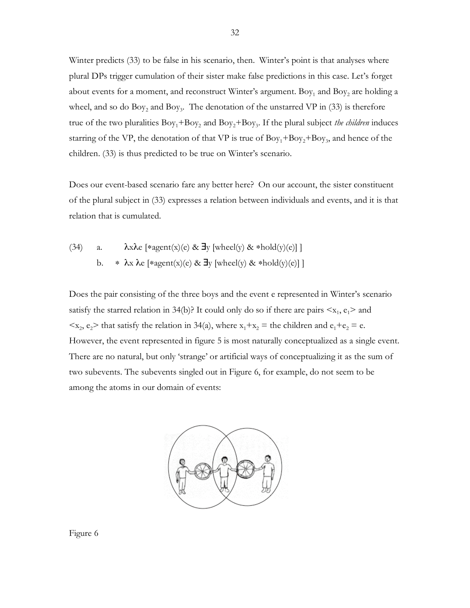Winter predicts (33) to be false in his scenario, then. Winter's point is that analyses where plural DPs trigger cumulation of their sister make false predictions in this case. Let's forget about events for a moment, and reconstruct Winter's argument. Boy<sub>1</sub> and Boy<sub>2</sub> are holding a wheel, and so do Boy<sub>2</sub> and Boy<sub>3</sub>. The denotation of the unstarred VP in  $(33)$  is therefore true of the two pluralities  $\text{Boy}_1 + \text{Boy}_2$  and  $\text{Boy}_2 + \text{Boy}_3$ . If the plural subject *the children* induces starring of the VP, the denotation of that VP is true of  $Boy_1+Boy_2+Boy_3$ , and hence of the children. (33) is thus predicted to be true on Winter's scenario.

Does our event-based scenario fare any better here? On our account, the sister constituent of the plural subject in (33) expresses a relation between individuals and events, and it is that relation that is cumulated.

(34) a. 
$$
\lambda x \lambda e
$$
[\*agent(x)(e) &  $\exists y$  [wheel(y) & \*hold(y)(e)] ]  
b. \*  $\lambda x \lambda e$ [\*agent(x)(e) &  $\exists y$  [wheel(y) & \*hold(y)(e)] ]

Does the pair consisting of the three boys and the event e represented in Winter's scenario satisfy the starred relation in 34(b)? It could only do so if there are pairs  $\langle x_1, e_1 \rangle$  and  $\langle x_2, e_2 \rangle$  that satisfy the relation in 34(a), where  $x_1 + x_2 =$  the children and  $e_1 + e_2 = e$ . However, the event represented in figure 5 is most naturally conceptualized as a single event. There are no natural, but only 'strange' or artificial ways of conceptualizing it as the sum of two subevents. The subevents singled out in Figure 6, for example, do not seem to be among the atoms in our domain of events:



Figure 6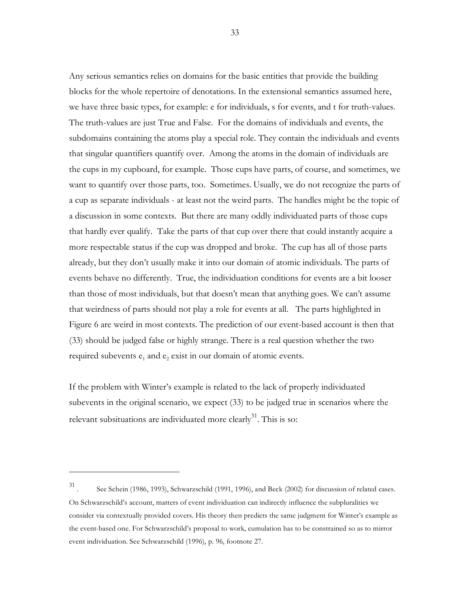Any serious semantics relies on domains for the basic entities that provide the building blocks for the whole repertoire of denotations. In the extensional semantics assumed here, we have three basic types, for example: e for individuals, s for events, and t for truth-values. The truth-values are just True and False. For the domains of individuals and events, the subdomains containing the atoms play a special role. They contain the individuals and events that singular quantifiers quantify over. Among the atoms in the domain of individuals are the cups in my cupboard, for example. Those cups have parts, of course, and sometimes, we want to quantify over those parts, too. Sometimes. Usually, we do not recognize the parts of a cup as separate individuals - at least not the weird parts. The handles might be the topic of a discussion in some contexts. But there are many oddly individuated parts of those cups that hardly ever qualify. Take the parts of that cup over there that could instantly acquire a more respectable status if the cup was dropped and broke. The cup has all of those parts already, but they don't usually make it into our domain of atomic individuals. The parts of events behave no differently. True, the individuation conditions for events are a bit looser than those of most individuals, but that doesn't mean that anything goes. We can't assume that weirdness of parts should not play a role for events at all. The parts highlighted in Figure 6 are weird in most contexts. The prediction of our event-based account is then that (33) should be judged false or highly strange. There is a real question whether the two required subevents  $e_1$  and  $e_2$  exist in our domain of atomic events.

If the problem with Winter's example is related to the lack of properly individuated subevents in the original scenario, we expect (33) to be judged true in scenarios where the relevant subsituations are individuated more clearly<sup>31</sup>. This is so:

 $\overline{a}$ 

33

<sup>31</sup> . See Schein (1986, 1993), Schwarzschild (1991, 1996), and Beck (2002) for discussion of related cases. On Schwarzschild's account, matters of event individuation can indirectly influence the subpluralities we consider via contextually provided covers. His theory then predicts the same judgment for Winter's example as the event-based one. For Schwarzschild's proposal to work, cumulation has to be constrained so as to mirror event individuation. See Schwarzschild (1996), p. 96, footnote 27.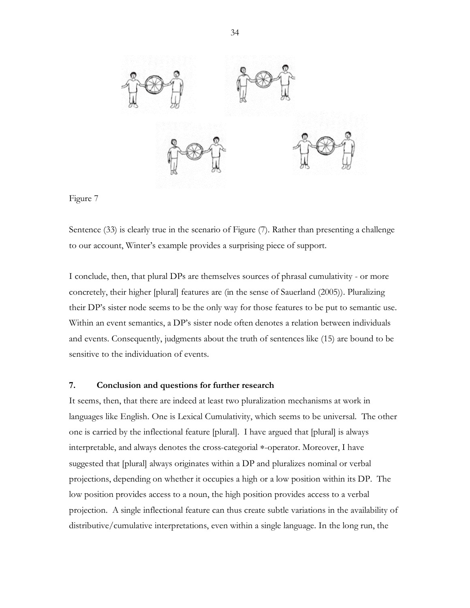



Sentence (33) is clearly true in the scenario of Figure (7). Rather than presenting a challenge to our account, Winter's example provides a surprising piece of support.

I conclude, then, that plural DPs are themselves sources of phrasal cumulativity - or more concretely, their higher [plural] features are (in the sense of Sauerland (2005)). Pluralizing their DP's sister node seems to be the only way for those features to be put to semantic use. Within an event semantics, a DP's sister node often denotes a relation between individuals and events. Consequently, judgments about the truth of sentences like (15) are bound to be sensitive to the individuation of events.

### **7. Conclusion and questions for further research**

It seems, then, that there are indeed at least two pluralization mechanisms at work in languages like English. One is Lexical Cumulativity, which seems to be universal. The other one is carried by the inflectional feature [plural]. I have argued that [plural] is always interpretable, and always denotes the cross-categorial ∗-operator. Moreover, I have suggested that [plural] always originates within a DP and pluralizes nominal or verbal projections, depending on whether it occupies a high or a low position within its DP. The low position provides access to a noun, the high position provides access to a verbal projection. A single inflectional feature can thus create subtle variations in the availability of distributive/cumulative interpretations, even within a single language. In the long run, the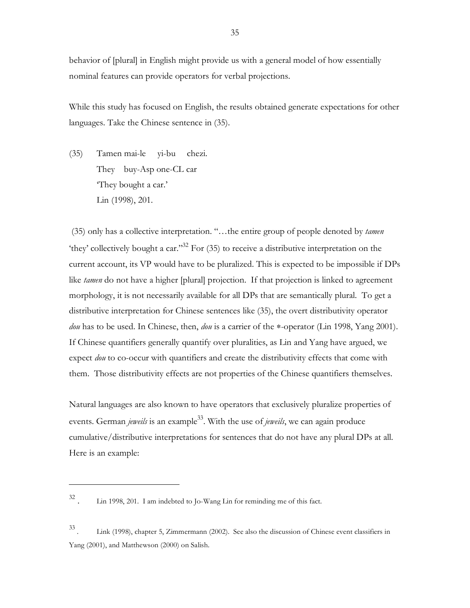behavior of [plural] in English might provide us with a general model of how essentially nominal features can provide operators for verbal projections.

While this study has focused on English, the results obtained generate expectations for other languages. Take the Chinese sentence in (35).

(35) Tamen mai-le yi-bu chezi. They buy-Asp one-CL car 'They bought a car.' Lin (1998), 201.

 $\overline{a}$ 

(35) only has a collective interpretation. "…the entire group of people denoted by *tamen* 'they' collectively bought a car."<sup>32</sup> For (35) to receive a distributive interpretation on the current account, its VP would have to be pluralized. This is expected to be impossible if DPs like *tamen* do not have a higher [plural] projection. If that projection is linked to agreement morphology, it is not necessarily available for all DPs that are semantically plural. To get a distributive interpretation for Chinese sentences like (35), the overt distributivity operator *dou* has to be used. In Chinese, then, *dou* is a carrier of the ∗-operator (Lin 1998, Yang 2001). If Chinese quantifiers generally quantify over pluralities, as Lin and Yang have argued, we expect *dou* to co-occur with quantifiers and create the distributivity effects that come with them. Those distributivity effects are not properties of the Chinese quantifiers themselves.

Natural languages are also known to have operators that exclusively pluralize properties of events. German *jeweils* is an example 33 . With the use of *jeweils*, we can again produce cumulative/distributive interpretations for sentences that do not have any plural DPs at all. Here is an example:

<sup>32</sup> . Lin 1998, 201. <sup>I</sup> am indebted to Jo-Wang Lin for reminding me of this fact.

<sup>33</sup> . Link (1998), chapter 5, Zimmermann (2002). See also the discussion of Chinese event classifiers in Yang (2001), and Matthewson (2000) on Salish.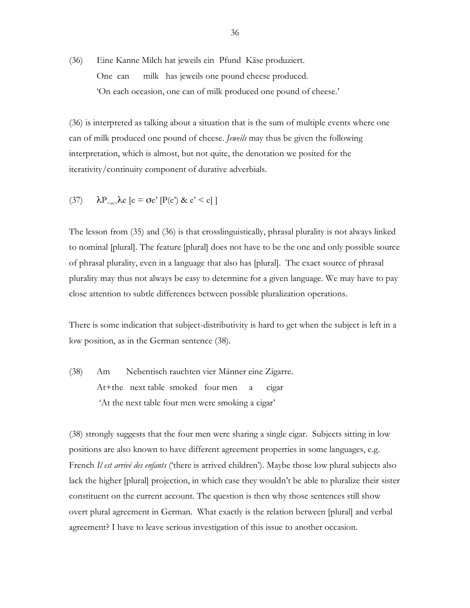(36) Eine Kanne Milch hat jeweils ein Pfund Käse produziert. One can milk has jeweils one pound cheese produced. 'On each occasion, one can of milk produced one pound of cheese.'

(36) is interpreted as talking about a situation that is the sum of multiple events where one can of milk produced one pound of cheese. *Jeweils* may thus be given the following interpretation, which is almost, but not quite, the denotation we posited for the iterativity/continuity component of durative adverbials.

(37)  $\lambda P_{\text{SUS}} \lambda e$  [e =  $\sigma e'$  [P(e') & e' < e] ]

The lesson from (35) and (36) is that crosslinguistically, phrasal plurality is not always linked to nominal [plural]. The feature [plural] does not have to be the one and only possible source of phrasal plurality, even in a language that also has [plural]. The exact source of phrasal plurality may thus not always be easy to determine for a given language. We may have to pay close attention to subtle differences between possible pluralization operations.

There is some indication that subject-distributivity is hard to get when the subject is left in a low position, as in the German sentence (38).

(38) Am Nebentisch rauchten vier Männer eine Zigarre. At+the next table smoked four men a cigar 'At the next table four men were smoking a cigar'

(38) strongly suggests that the four men were sharing a single cigar. Subjects sitting in low positions are also known to have different agreement properties in some languages, e.g. French *Il est arrivé des enfants* ('there is arrived children'). Maybe those low plural subjects also lack the higher [plural] projection, in which case they wouldn't be able to pluralize their sister constituent on the current account. The question is then why those sentences still show overt plural agreement in German. What exactly is the relation between [plural] and verbal agreement? I have to leave serious investigation of this issue to another occasion.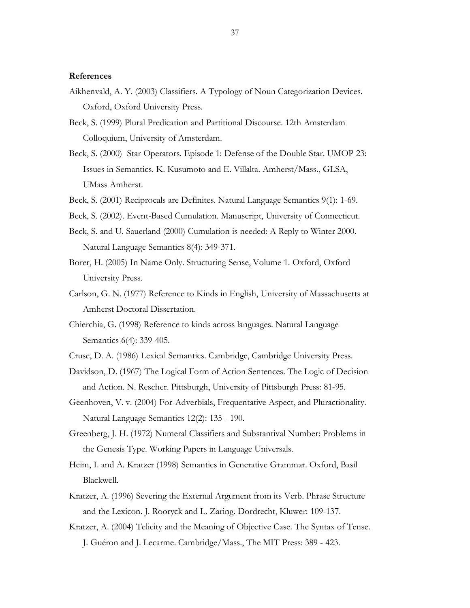#### **References**

- Aikhenvald, A. Y. (2003) Classifiers. A Typology of Noun Categorization Devices. Oxford, Oxford University Press.
- Beck, S. (1999) Plural Predication and Partitional Discourse. 12th Amsterdam Colloquium, University of Amsterdam.
- Beck, S. (2000) Star Operators. Episode 1: Defense of the Double Star. UMOP 23: Issues in Semantics. K. Kusumoto and E. Villalta. Amherst/Mass., GLSA, UMass Amherst.
- Beck, S. (2001) Reciprocals are Definites. Natural Language Semantics 9(1): 1-69.
- Beck, S. (2002). Event-Based Cumulation. Manuscript, University of Connecticut.
- Beck, S. and U. Sauerland (2000) Cumulation is needed: A Reply to Winter 2000. Natural Language Semantics 8(4): 349-371.
- Borer, H. (2005) In Name Only. Structuring Sense, Volume 1. Oxford, Oxford University Press.
- Carlson, G. N. (1977) Reference to Kinds in English, University of Massachusetts at Amherst Doctoral Dissertation.
- Chierchia, G. (1998) Reference to kinds across languages. Natural Language Semantics 6(4): 339-405.
- Cruse, D. A. (1986) Lexical Semantics. Cambridge, Cambridge University Press.
- Davidson, D. (1967) The Logical Form of Action Sentences. The Logic of Decision and Action. N. Rescher. Pittsburgh, University of Pittsburgh Press: 81-95.
- Geenhoven, V. v. (2004) For-Adverbials, Frequentative Aspect, and Pluractionality. Natural Language Semantics 12(2): 135 - 190.
- Greenberg, J. H. (1972) Numeral Classifiers and Substantival Number: Problems in the Genesis Type. Working Papers in Language Universals.
- Heim, I. and A. Kratzer (1998) Semantics in Generative Grammar. Oxford, Basil Blackwell.
- Kratzer, A. (1996) Severing the External Argument from its Verb. Phrase Structure and the Lexicon. J. Rooryck and L. Zaring. Dordrecht, Kluwer: 109-137.
- Kratzer, A. (2004) Telicity and the Meaning of Objective Case. The Syntax of Tense. J. Guéron and J. Lecarme. Cambridge/Mass., The MIT Press: 389 - 423.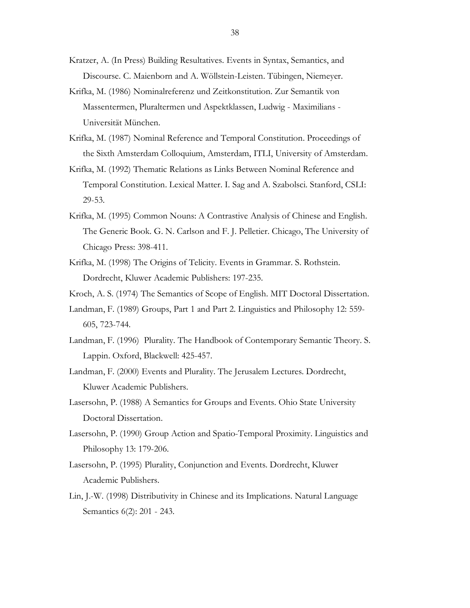- Kratzer, A. (In Press) Building Resultatives. Events in Syntax, Semantics, and Discourse. C. Maienborn and A. Wöllstein-Leisten. Tübingen, Niemeyer.
- Krifka, M. (1986) Nominalreferenz und Zeitkonstitution. Zur Semantik von Massentermen, Pluraltermen und Aspektklassen, Ludwig - Maximilians - Universität München.
- Krifka, M. (1987) Nominal Reference and Temporal Constitution. Proceedings of the Sixth Amsterdam Colloquium, Amsterdam, ITLI, University of Amsterdam.
- Krifka, M. (1992) Thematic Relations as Links Between Nominal Reference and Temporal Constitution. Lexical Matter. I. Sag and A. Szabolsci. Stanford, CSLI: 29-53.
- Krifka, M. (1995) Common Nouns: A Contrastive Analysis of Chinese and English. The Generic Book. G. N. Carlson and F. J. Pelletier. Chicago, The University of Chicago Press: 398-411.
- Krifka, M. (1998) The Origins of Telicity. Events in Grammar. S. Rothstein. Dordrecht, Kluwer Academic Publishers: 197-235.
- Kroch, A. S. (1974) The Semantics of Scope of English. MIT Doctoral Dissertation.
- Landman, F. (1989) Groups, Part 1 and Part 2. Linguistics and Philosophy 12: 559- 605, 723-744.
- Landman, F. (1996) Plurality. The Handbook of Contemporary Semantic Theory. S. Lappin. Oxford, Blackwell: 425-457.
- Landman, F. (2000) Events and Plurality. The Jerusalem Lectures. Dordrecht, Kluwer Academic Publishers.
- Lasersohn, P. (1988) A Semantics for Groups and Events. Ohio State University Doctoral Dissertation.
- Lasersohn, P. (1990) Group Action and Spatio-Temporal Proximity. Linguistics and Philosophy 13: 179-206.
- Lasersohn, P. (1995) Plurality, Conjunction and Events. Dordrecht, Kluwer Academic Publishers.
- Lin, J.-W. (1998) Distributivity in Chinese and its Implications. Natural Language Semantics 6(2): 201 - 243.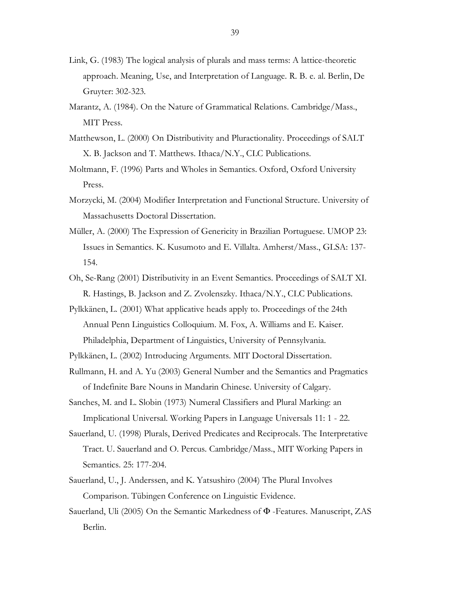- Link, G. (1983) The logical analysis of plurals and mass terms: A lattice-theoretic approach. Meaning, Use, and Interpretation of Language. R. B. e. al. Berlin, De Gruyter: 302-323.
- Marantz, A. (1984). On the Nature of Grammatical Relations. Cambridge/Mass., MIT Press.
- Matthewson, L. (2000) On Distributivity and Pluractionality. Proceedings of SALT X. B. Jackson and T. Matthews. Ithaca/N.Y., CLC Publications.
- Moltmann, F. (1996) Parts and Wholes in Semantics. Oxford, Oxford University Press.
- Morzycki, M. (2004) Modifier Interpretation and Functional Structure. University of Massachusetts Doctoral Dissertation.
- Müller, A. (2000) The Expression of Genericity in Brazilian Portuguese. UMOP 23: Issues in Semantics. K. Kusumoto and E. Villalta. Amherst/Mass., GLSA: 137- 154.
- Oh, Se-Rang (2001) Distributivity in an Event Semantics. Proceedings of SALT XI. R. Hastings, B. Jackson and Z. Zvolenszky. Ithaca/N.Y., CLC Publications.
- Pylkkänen, L. (2001) What applicative heads apply to. Proceedings of the 24th Annual Penn Linguistics Colloquium. M. Fox, A. Williams and E. Kaiser. Philadelphia, Department of Linguistics, University of Pennsylvania.
- Pylkkänen, L. (2002) Introducing Arguments. MIT Doctoral Dissertation.
- Rullmann, H. and A. Yu (2003) General Number and the Semantics and Pragmatics of Indefinite Bare Nouns in Mandarin Chinese. University of Calgary.
- Sanches, M. and L. Slobin (1973) Numeral Classifiers and Plural Marking: an Implicational Universal. Working Papers in Language Universals 11: 1 - 22.
- Sauerland, U. (1998) Plurals, Derived Predicates and Reciprocals. The Interpretative Tract. U. Sauerland and O. Percus. Cambridge/Mass., MIT Working Papers in Semantics. 25: 177-204.
- Sauerland, U., J. Anderssen, and K. Yatsushiro (2004) The Plural Involves Comparison. Tübingen Conference on Linguistic Evidence.
- Sauerland, Uli (2005) On the Semantic Markedness of Φ -Features. Manuscript, ZAS Berlin.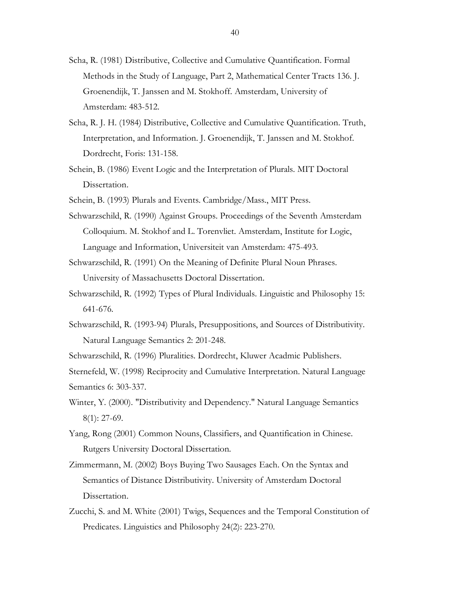- Scha, R. (1981) Distributive, Collective and Cumulative Quantification. Formal Methods in the Study of Language, Part 2, Mathematical Center Tracts 136. J. Groenendijk, T. Janssen and M. Stokhoff. Amsterdam, University of Amsterdam: 483-512.
- Scha, R. J. H. (1984) Distributive, Collective and Cumulative Quantification. Truth, Interpretation, and Information. J. Groenendijk, T. Janssen and M. Stokhof. Dordrecht, Foris: 131-158.
- Schein, B. (1986) Event Logic and the Interpretation of Plurals. MIT Doctoral Dissertation.
- Schein, B. (1993) Plurals and Events. Cambridge/Mass., MIT Press.
- Schwarzschild, R. (1990) Against Groups. Proceedings of the Seventh Amsterdam Colloquium. M. Stokhof and L. Torenvliet. Amsterdam, Institute for Logic, Language and Information, Universiteit van Amsterdam: 475-493.
- Schwarzschild, R. (1991) On the Meaning of Definite Plural Noun Phrases. University of Massachusetts Doctoral Dissertation.
- Schwarzschild, R. (1992) Types of Plural Individuals. Linguistic and Philosophy 15: 641-676.
- Schwarzschild, R. (1993-94) Plurals, Presuppositions, and Sources of Distributivity. Natural Language Semantics 2: 201-248.

Schwarzschild, R. (1996) Pluralities. Dordrecht, Kluwer Acadmic Publishers.

Sternefeld, W. (1998) Reciprocity and Cumulative Interpretation. Natural Language Semantics 6: 303-337.

- Winter, Y. (2000). "Distributivity and Dependency." Natural Language Semantics 8(1): 27-69.
- Yang, Rong (2001) Common Nouns, Classifiers, and Quantification in Chinese. Rutgers University Doctoral Dissertation.
- Zimmermann, M. (2002) Boys Buying Two Sausages Each. On the Syntax and Semantics of Distance Distributivity. University of Amsterdam Doctoral Dissertation.
- Zucchi, S. and M. White (2001) Twigs, Sequences and the Temporal Constitution of Predicates. Linguistics and Philosophy 24(2): 223-270.